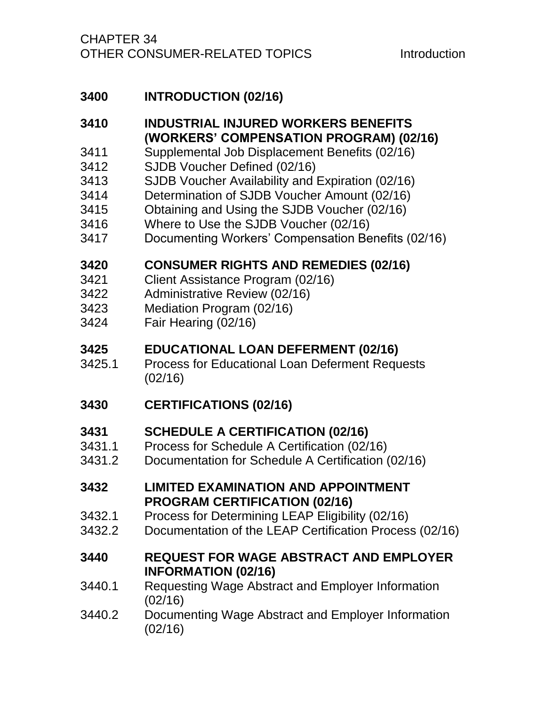# **3400 [INTRODUCTION \(02/16\)](#page-3-0)**

## **3410 [INDUSTRIAL INJURED WORKERS BENEFITS](#page-5-0)  [\(WORKERS' COMPENSATION PROGRAM\) \(02/16\)](#page-5-0)**

- 3411 [Supplemental Job Displacement Benefits \(02/16\)](#page-5-1)
- 3412 [SJDB Voucher Defined \(02/16\)](#page-6-0)
- 3413 [SJDB Voucher Availability and Expiration \(02/16\)](#page-7-0)
- 3414 [Determination of SJDB Voucher Amount \(02/16\)](#page-8-0)
- 3415 [Obtaining and Using the SJDB Voucher \(02/16\)](#page-9-0)
- 3416 [Where to Use the SJDB Voucher \(02/16\)](#page-10-0)
- 3417 [Documenting Workers' Compensation Benefits \(02/16\)](#page-11-0)

### **3420 [CONSUMER RIGHTS AND REMEDIES \(02/16\)](#page-13-0)**

- 3421 [Client Assistance Program \(02/16\)](#page-16-0)
- 3422 [Administrative Review \(02/16\)](#page-17-0)
- 3423 [Mediation Program \(02/16\)](#page-18-0)
- 3424 [Fair Hearing \(02/16\)](#page-22-0)

## **3425 [EDUCATIONAL LOAN DEFERMENT \(02/16\)](#page-27-0)**

3425.1 [Process for Educational Loan Deferment Requests](#page-27-1)  [\(02/16\)](#page-27-1)

## **3430 [CERTIFICATIONS \(02/16\)](#page-29-0)**

## **3431 [SCHEDULE A CERTIFICATION \(02/16\)](#page-30-0)**

- 3431.1 [Process for Schedule A Certification \(02/16\)](#page-30-1)
- 3431.2 [Documentation for Schedule A Certification \(02/16\)](#page-31-0)

#### **3432 [LIMITED EXAMINATION AND APPOINTMENT](#page-32-0)  [PROGRAM CERTIFICATION \(02/16\)](#page-32-0)**

- 3432.1 [Process for Determining LEAP Eligibility \(02/16\)](#page-32-1)
- 3432.2 [Documentation of the LEAP Certification Process \(02/16\)](#page-33-0)

### **3440 [REQUEST FOR WAGE ABSTRACT AND EMPLOYER](#page-36-0)  [INFORMATION \(02/16\)](#page-36-0)**

- 3440.1 [Requesting Wage Abstract and Employer Information](#page-37-0)  [\(02/16\)](#page-37-0)
- 3440.2 [Documenting Wage Abstract and Employer Information](#page-38-0)  [\(02/16\)](#page-38-0)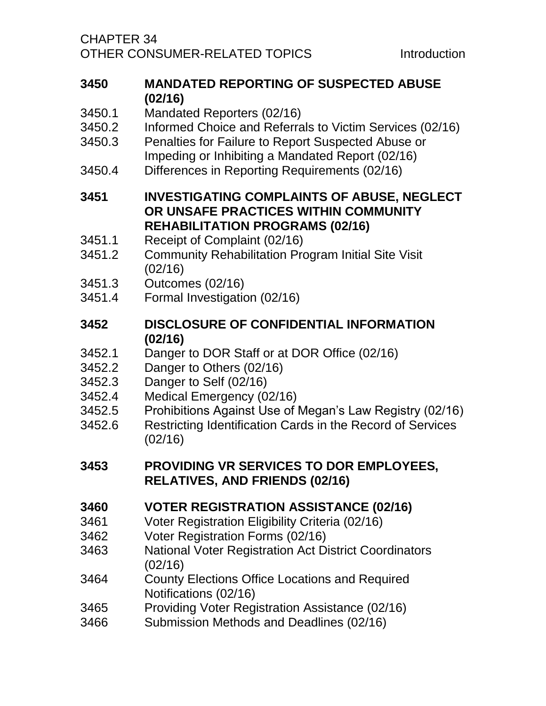CHAPTER 34 OTHER CONSUMER-RELATED TOPICS TOPICS

- **3450 [MANDATED REPORTING OF SUSPECTED ABUSE](#page-39-0)  [\(02/16\)](#page-39-0)**
- 3450.1 [Mandated Reporters \(02/16\)](#page-40-0)
- 3450.2 [Informed Choice and Referrals to Victim Services \(02/16\)](#page-42-0)
- 3450.3 [Penalties for Failure to Report Suspected Abuse or](#page-43-0)  [Impeding or Inhibiting a Mandated Report \(02/16\)](#page-43-0)
- 3450.4 [Differences in Reporting Requirements \(02/16\)](#page-43-1)
- **3451 [INVESTIGATING COMPLAINTS OF ABUSE, NEGLECT](#page-44-0)  [OR UNSAFE PRACTICES WITHIN COMMUNITY](#page-44-0)  [REHABILITATION PROGRAMS \(02/16\)](#page-44-0)**
- 3451.1 [Receipt of Complaint \(02/16\)](#page-45-0)
- 3451.2 [Community Rehabilitation Program Initial Site Visit](#page-46-0)  [\(02/16\)](#page-46-0)
- 3451.3 [Outcomes \(02/16\)](#page-47-0)
- 3451.4 [Formal Investigation \(02/16\)](#page-47-1)
- **3452 [DISCLOSURE OF CONFIDENTIAL INFORMATION](#page-51-0)  [\(02/16\)](#page-51-0)**
- 3452.1 [Danger to DOR Staff or at DOR Office \(02/16\)](#page-51-1)
- 3452.2 [Danger to Others \(02/16\)](#page-52-0)
- 3452.3 [Danger to Self \(02/16\)](#page-52-1)
- 3452.4 [Medical Emergency \(02/16\)](#page-52-2)
- 3452.5 [Prohibitions Against Use of Megan's Law Registry \(02/16\)](#page-52-3)
- 3452.6 [Restricting Identification Cards in the Record of Services](#page-53-0)  [\(02/16\)](#page-53-0)
- **3453 [PROVIDING VR SERVICES TO DOR EMPLOYEES,](#page-55-0)  [RELATIVES, AND FRIENDS \(02/16\)](#page-55-0)**

## **3460 [VOTER REGISTRATION ASSISTANCE \(02/16\)](#page-59-0)**

- 3461 [Voter Registration Eligibility Criteria \(02/16\)](#page-59-1)
- 3462 [Voter Registration Forms \(02/16\)](#page-60-0)
- 3463 [National Voter Registration Act District Coordinators](#page-61-0)  [\(02/16\)](#page-61-0)
- 3464 [County Elections Office Locations and Required](#page-62-0)  [Notifications \(02/16\)](#page-62-0)
- 3465 [Providing Voter Registration Assistance \(02/16\)](#page-62-1)
- 3466 [Submission Methods and Deadlines \(02/16\)](#page-63-0)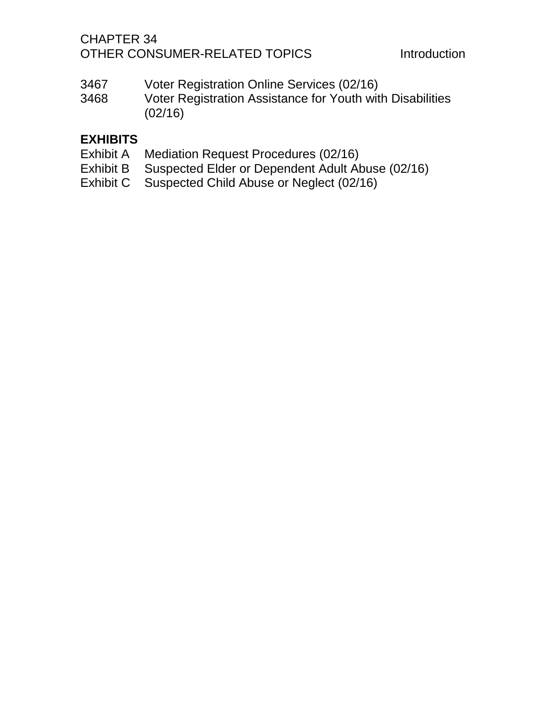## CHAPTER 34 OTHER CONSUMER-RELATED TOPICS Introduction

- 3467 [Voter Registration Online Services \(02/16\)](#page-63-1)
- 3468 [Voter Registration Assistance for Youth with Disabilities](#page-63-2)  [\(02/16\)](#page-63-2)

## **[EXHIBITS](#page-64-0)**

- Exhibit A [Mediation Request Procedures \(02/16\)](#page-64-1)
- Exhibit B [Suspected Elder or Dependent Adult Abuse \(02/16\)](#page-64-2)
- Exhibit C [Suspected Child Abuse or Neglect \(02/16\)](#page-64-3)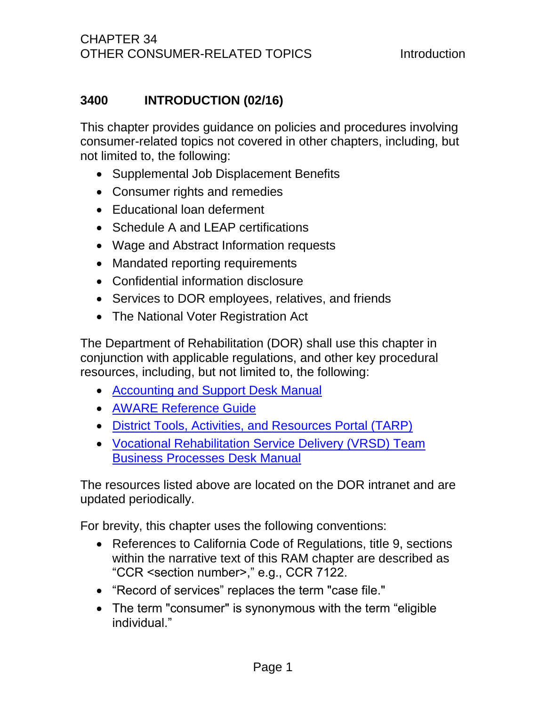## <span id="page-3-0"></span>**3400 INTRODUCTION (02/16)**

This chapter provides guidance on policies and procedures involving consumer-related topics not covered in other chapters, including, but not limited to, the following:

- Supplemental Job Displacement Benefits
- Consumer rights and remedies
- Educational loan deferment
- Schedule A and LEAP certifications
- Wage and Abstract Information requests
- Mandated reporting requirements
- Confidential information disclosure
- Services to DOR employees, relatives, and friends
- The National Voter Registration Act

The Department of Rehabilitation (DOR) shall use this chapter in conjunction with applicable regulations, and other key procedural resources, including, but not limited to, the following:

- [Accounting and Support Desk Manual](file://dorgroup/group/Public%20Folder/Accounting%20and%20Support%20Desk%20Manuals)
- [AWARE Reference Guide](http://drdomino/aware/documents/pdf/AWARE%20Reference%20Guide%20Jan%202015.pdf)
- [District Tools, Activities, and Resources Portal \(TARP\)](http://drdomino/vrp-rd/Program-Policy-Implementation/district-tools-activities-and-resources-portal/district-tools-activities-and-resources-portal.html)
- [Vocational Rehabilitation Service Delivery \(VRSD\) Team](http://drdomino/asd/human-resources/personnel/new-vrmod/introduction.html)  [Business Processes Desk Manual](http://drdomino/asd/human-resources/personnel/new-vrmod/introduction.html)

The resources listed above are located on the DOR intranet and are updated periodically.

For brevity, this chapter uses the following conventions:

- References to California Code of Regulations, title 9, sections within the narrative text of this RAM chapter are described as "CCR <section number>," e.g., CCR 7122.
- "Record of services" replaces the term "case file."
- The term "consumer" is synonymous with the term "eligible individual."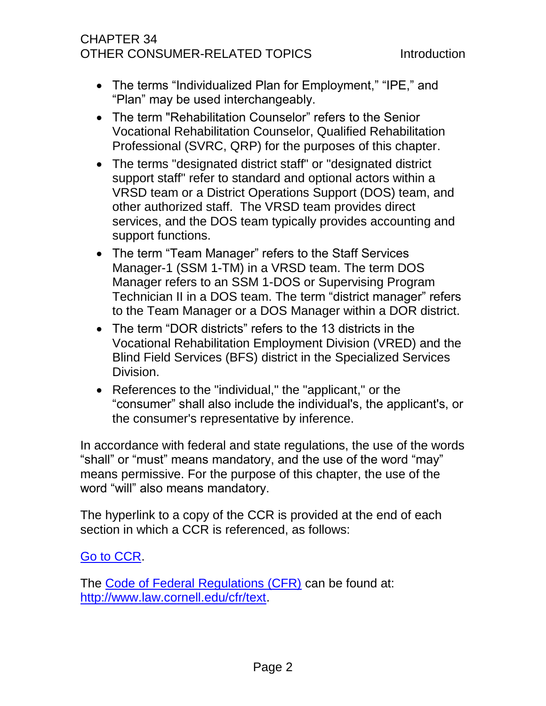## CHAPTER 34 OTHER CONSUMER-RELATED TOPICS TOPICS

- The terms "Individualized Plan for Employment," "IPE," and "Plan" may be used interchangeably.
- The term "Rehabilitation Counselor" refers to the Senior Vocational Rehabilitation Counselor, Qualified Rehabilitation Professional (SVRC, QRP) for the purposes of this chapter.
- The terms "designated district staff" or "designated district support staff" refer to standard and optional actors within a VRSD team or a District Operations Support (DOS) team, and other authorized staff. The VRSD team provides direct services, and the DOS team typically provides accounting and support functions.
- The term "Team Manager" refers to the Staff Services Manager-1 (SSM 1-TM) in a VRSD team. The term DOS Manager refers to an SSM 1-DOS or Supervising Program Technician II in a DOS team. The term "district manager" refers to the Team Manager or a DOS Manager within a DOR district.
- The term "DOR districts" refers to the 13 districts in the Vocational Rehabilitation Employment Division (VRED) and the Blind Field Services (BFS) district in the Specialized Services Division.
- References to the "individual," the "applicant," or the "consumer" shall also include the individual's, the applicant's, or the consumer's representative by inference.

In accordance with federal and state regulations, the use of the words "shall" or "must" means mandatory, and the use of the word "may" means permissive. For the purpose of this chapter, the use of the word "will" also means mandatory.

The hyperlink to a copy of the CCR is provided at the end of each section in which a CCR is referenced, as follows:

#### [Go to CCR.](file://dorgroup/group/User%20Resources/California%20Code%20of%20Regulations%20(CCR)/LATEST%20CCR/CCR%20DOR.docx)

The [Code of Federal Regulations \(CFR\)](http://www.law.cornell.edu/cfr/text) can be found at: [http://www.law.cornell.edu/cfr/text.](http://www.law.cornell.edu/cfr/text)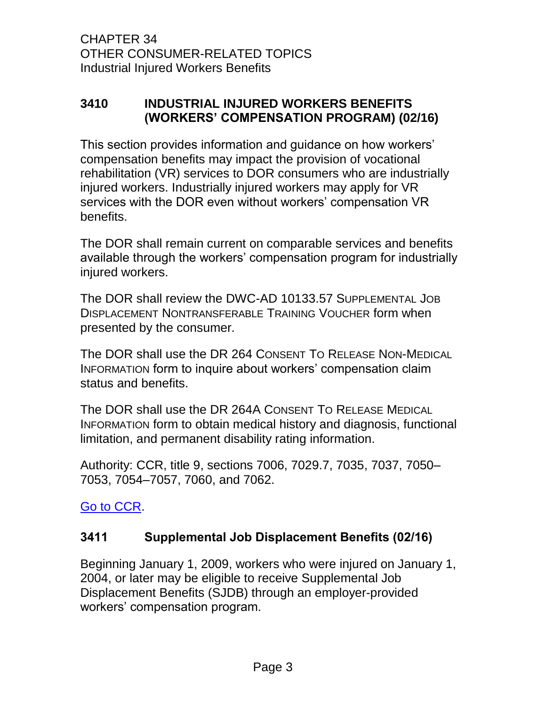## <span id="page-5-0"></span>**3410 INDUSTRIAL INJURED WORKERS BENEFITS (WORKERS' COMPENSATION PROGRAM) (02/16)**

This section provides information and guidance on how workers' compensation benefits may impact the provision of vocational rehabilitation (VR) services to DOR consumers who are industrially injured workers. Industrially injured workers may apply for VR services with the DOR even without workers' compensation VR benefits.

The DOR shall remain current on comparable services and benefits available through the workers' compensation program for industrially injured workers.

The DOR shall review the DWC-AD 10133.57 SUPPLEMENTAL JOB DISPLACEMENT NONTRANSFERABLE TRAINING VOUCHER form when presented by the consumer.

The DOR shall use the DR 264 CONSENT TO RELEASE NON-MEDICAL INFORMATION form to inquire about workers' compensation claim status and benefits.

The DOR shall use the DR 264A CONSENT TO RELEASE MEDICAL INFORMATION form to obtain medical history and diagnosis, functional limitation, and permanent disability rating information.

Authority: CCR, title 9, sections 7006, 7029.7, 7035, 7037, 7050– 7053, 7054–7057, 7060, and 7062.

<span id="page-5-1"></span>[Go to CCR.](file://dorgroup/group/User%20Resources/California%20Code%20of%20Regulations%20(CCR)/LATEST%20CCR/CCR%20DOR.docx)

## **3411 Supplemental Job Displacement Benefits (02/16)**

Beginning January 1, 2009, workers who were injured on January 1, 2004, or later may be eligible to receive Supplemental Job Displacement Benefits (SJDB) through an employer-provided workers' compensation program.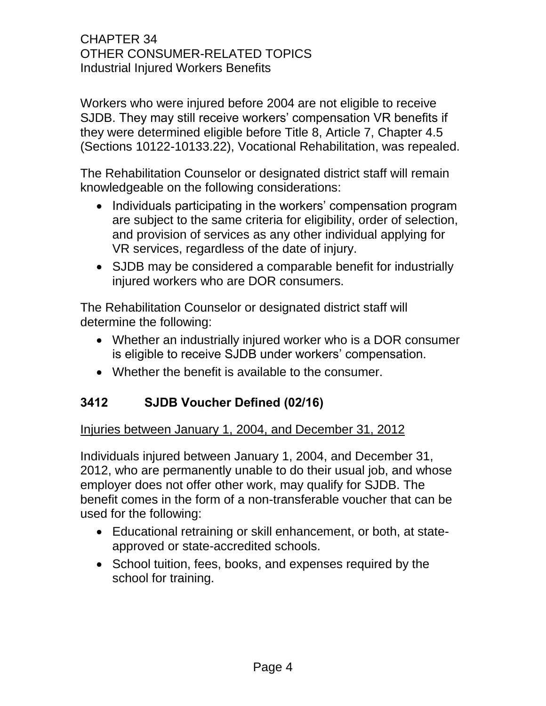Workers who were injured before 2004 are not eligible to receive SJDB. They may still receive workers' compensation VR benefits if they were determined eligible before Title 8, Article 7, Chapter 4.5 (Sections 10122-10133.22), Vocational Rehabilitation, was repealed.

The Rehabilitation Counselor or designated district staff will remain knowledgeable on the following considerations:

- Individuals participating in the workers' compensation program are subject to the same criteria for eligibility, order of selection, and provision of services as any other individual applying for VR services, regardless of the date of injury.
- SJDB may be considered a comparable benefit for industrially injured workers who are DOR consumers.

The Rehabilitation Counselor or designated district staff will determine the following:

- Whether an industrially injured worker who is a DOR consumer is eligible to receive SJDB under workers' compensation.
- Whether the benefit is available to the consumer.

## <span id="page-6-0"></span>**3412 SJDB Voucher Defined (02/16)**

#### Injuries between January 1, 2004, and December 31, 2012

Individuals injured between January 1, 2004, and December 31, 2012, who are permanently unable to do their usual job, and whose employer does not offer other work, may qualify for SJDB. The benefit comes in the form of a non-transferable voucher that can be used for the following:

- Educational retraining or skill enhancement, or both, at stateapproved or state-accredited schools.
- School tuition, fees, books, and expenses required by the school for training.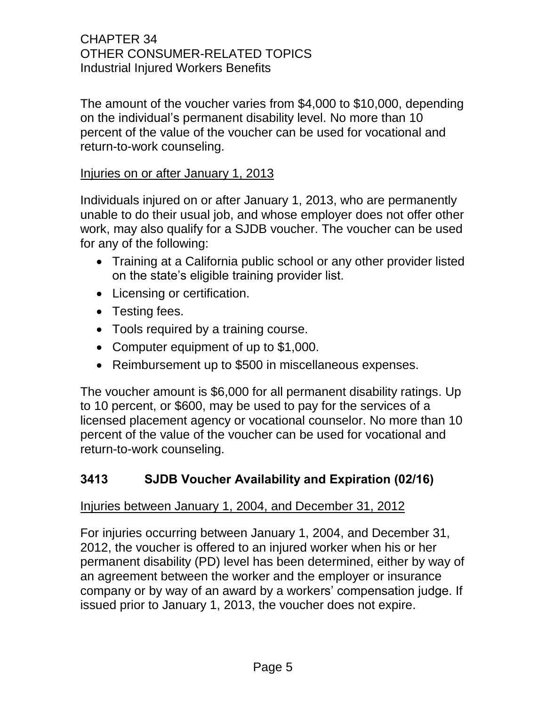The amount of the voucher varies from \$4,000 to \$10,000, depending on the individual's permanent disability level. No more than 10 percent of the value of the voucher can be used for vocational and return-to-work counseling.

#### Injuries on or after January 1, 2013

Individuals injured on or after January 1, 2013, who are permanently unable to do their usual job, and whose employer does not offer other work, may also qualify for a SJDB voucher. The voucher can be used for any of the following:

- Training at a California public school or any other provider listed on the state's eligible training provider list.
- Licensing or certification.
- Testing fees.
- Tools required by a training course.
- Computer equipment of up to \$1,000.
- Reimbursement up to \$500 in miscellaneous expenses.

The voucher amount is \$6,000 for all permanent disability ratings. Up to 10 percent, or \$600, may be used to pay for the services of a licensed placement agency or vocational counselor. No more than 10 percent of the value of the voucher can be used for vocational and return-to-work counseling.

## <span id="page-7-0"></span>**3413 SJDB Voucher Availability and Expiration (02/16)**

### Injuries between January 1, 2004, and December 31, 2012

For injuries occurring between January 1, 2004, and December 31, 2012, the voucher is offered to an injured worker when his or her permanent disability (PD) level has been determined, either by way of an agreement between the worker and the employer or insurance company or by way of an award by a workers' compensation judge. If issued prior to January 1, 2013, the voucher does not expire.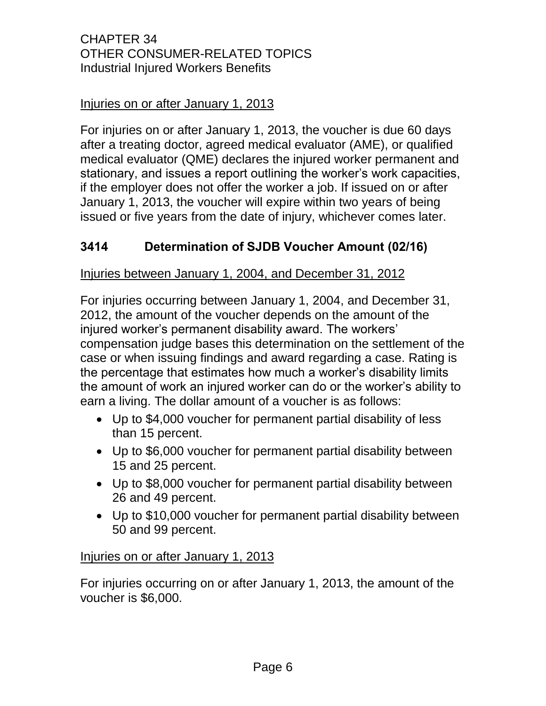### Injuries on or after January 1, 2013

For injuries on or after January 1, 2013, the voucher is due 60 days after a treating doctor, agreed medical evaluator (AME), or qualified medical evaluator (QME) declares the injured worker permanent and stationary, and issues a report outlining the worker's work capacities, if the employer does not offer the worker a job. If issued on or after January 1, 2013, the voucher will expire within two years of being issued or five years from the date of injury, whichever comes later.

## <span id="page-8-0"></span>**3414 Determination of SJDB Voucher Amount (02/16)**

#### Injuries between January 1, 2004, and December 31, 2012

For injuries occurring between January 1, 2004, and December 31, 2012, the amount of the voucher depends on the amount of the injured worker's permanent disability award. The workers' compensation judge bases this determination on the settlement of the case or when issuing findings and award regarding a case. Rating is the percentage that estimates how much a worker's disability limits the amount of work an injured worker can do or the worker's ability to earn a living. The dollar amount of a voucher is as follows:

- Up to \$4,000 voucher for permanent partial disability of less than 15 percent.
- Up to \$6,000 voucher for permanent partial disability between 15 and 25 percent.
- Up to \$8,000 voucher for permanent partial disability between 26 and 49 percent.
- Up to \$10,000 voucher for permanent partial disability between 50 and 99 percent.

#### Injuries on or after January 1, 2013

For injuries occurring on or after January 1, 2013, the amount of the voucher is \$6,000.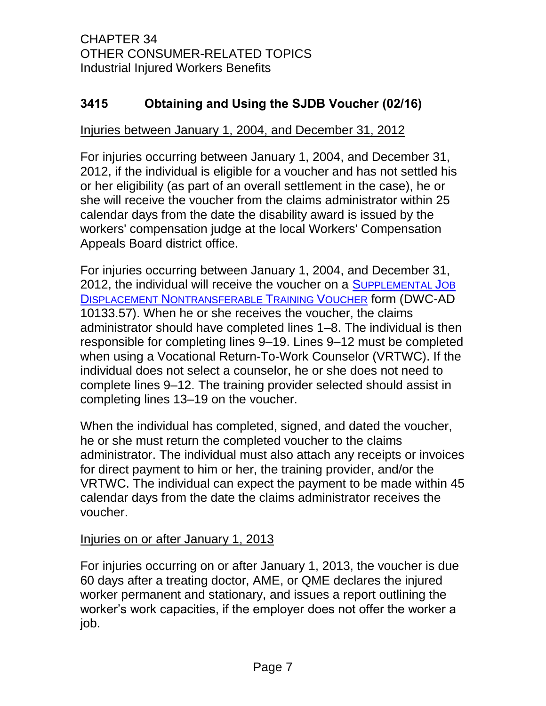## <span id="page-9-0"></span>**3415 Obtaining and Using the SJDB Voucher (02/16)**

#### Injuries between January 1, 2004, and December 31, 2012

For injuries occurring between January 1, 2004, and December 31, 2012, if the individual is eligible for a voucher and has not settled his or her eligibility (as part of an overall settlement in the case), he or she will receive the voucher from the claims administrator within 25 calendar days from the date the disability award is issued by the workers' compensation judge at the local Workers' Compensation Appeals Board district office.

For injuries occurring between January 1, 2004, and December 31, 2012, the individual will receive the voucher on a S[UPPLEMENTAL](http://www.dir.ca.gov/dwc/DWCPropRegs/SJDB_Regs/Form10133.57.pdf) JOB DISPLACEMENT N[ONTRANSFERABLE](http://www.dir.ca.gov/dwc/DWCPropRegs/SJDB_Regs/Form10133.57.pdf) TRAINING VOUCHER form (DWC-AD 10133.57). When he or she receives the voucher, the claims administrator should have completed lines 1–8. The individual is then responsible for completing lines 9–19. Lines 9–12 must be completed when using a Vocational Return-To-Work Counselor (VRTWC). If the individual does not select a counselor, he or she does not need to complete lines 9–12. The training provider selected should assist in completing lines 13–19 on the voucher.

When the individual has completed, signed, and dated the voucher, he or she must return the completed voucher to the claims administrator. The individual must also attach any receipts or invoices for direct payment to him or her, the training provider, and/or the VRTWC. The individual can expect the payment to be made within 45 calendar days from the date the claims administrator receives the voucher.

#### Injuries on or after January 1, 2013

For injuries occurring on or after January 1, 2013, the voucher is due 60 days after a treating doctor, AME, or QME declares the injured worker permanent and stationary, and issues a report outlining the worker's work capacities, if the employer does not offer the worker a job.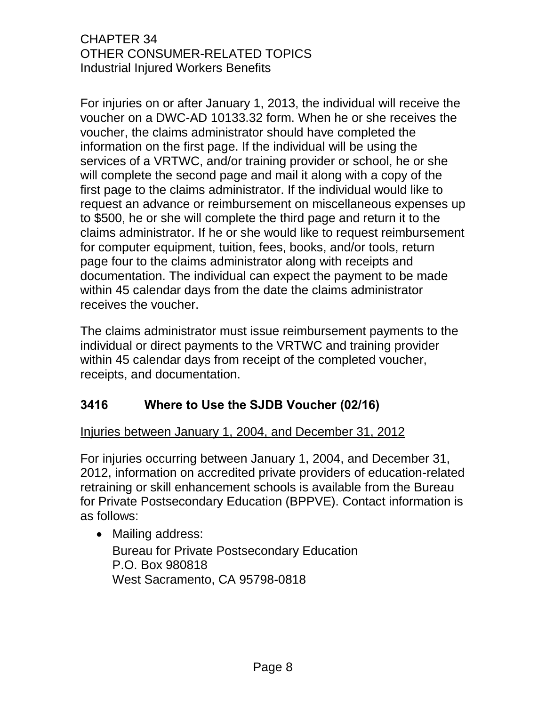For injuries on or after January 1, 2013, the individual will receive the voucher [on a DWC-AD](http://www.dir.ca.gov/dwc/DWCPropRegs/SJDB_Regs/Form10133.32.pdf) 10133.32 form. When he or she receives the voucher, the claims administrator should have completed the information on the first page. If the individual will be using the services of a VRTWC, and/or training provider or school, he or she will complete the second page and mail it along with a copy of the first page to the claims administrator. If the individual would like to request an advance or reimbursement on miscellaneous expenses up to \$500, he or she will complete the third page and return it to the claims administrator. If he or she would like to request reimbursement for computer equipment, tuition, fees, books, and/or tools, return page four to the claims administrator along with receipts and documentation. The individual can expect the payment to be made within 45 calendar days from the date the claims administrator receives the voucher.

The claims administrator must issue reimbursement payments to the individual or direct payments to the VRTWC and training provider within 45 calendar days from receipt of the completed voucher, receipts, and documentation.

## <span id="page-10-0"></span>**3416 Where to Use the SJDB Voucher (02/16)**

#### Injuries between January 1, 2004, and December 31, 2012

For injuries occurring between January 1, 2004, and December 31, 2012, information on accredited private providers of education-related retraining or skill enhancement schools is available from the Bureau for Private Postsecondary Education (BPPVE). Contact information is as follows:

• Mailing address: Bureau for Private Postsecondary Education P.O. Box 980818 West Sacramento, CA 95798-0818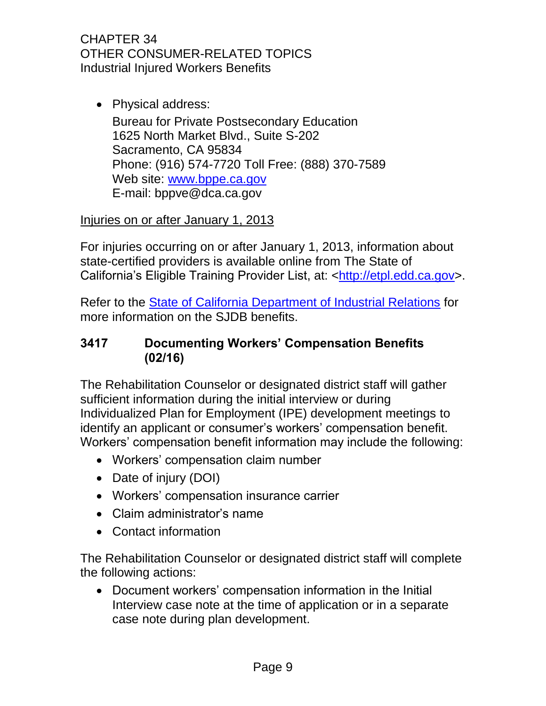• Physical address: Bureau for Private Postsecondary Education 1625 North Market Blvd., Suite S-202 Sacramento, CA 95834 Phone: (916) 574-7720 Toll Free: (888) 370-7589 Web site: [www.bppe.ca.gov](http://www.bppe.ca.gov/) E-mail: [bppve@dca.ca.gov](mailto:bppve@dca.ca.gov)

## Injuries on or after January 1, 2013

For injuries occurring on or after January 1, 2013, information about state-certified providers is available online from The State of California's Eligible Training Provider List, at: [<http://etpl.edd.ca.gov>](http://etpl.edd.ca.gov/).

Refer to the [State of California Department of Industrial Relations](http://www.dir.ca.gov/dwc/sjdb/SJDB_FAQ.html) for more information on the SJDB benefits.

### <span id="page-11-0"></span>**3417 Documenting Workers' Compensation Benefits (02/16)**

The Rehabilitation Counselor or designated district staff will gather sufficient information during the initial interview or during Individualized Plan for Employment (IPE) development meetings to identify an applicant or consumer's workers' compensation benefit. Workers' compensation benefit information may include the following:

- Workers' compensation claim number
- Date of injury (DOI)
- Workers' compensation insurance carrier
- Claim administrator's name
- Contact information

The Rehabilitation Counselor or designated district staff will complete the following actions:

 Document workers' compensation information in the Initial Interview case note at the time of application or in a separate case note during plan development.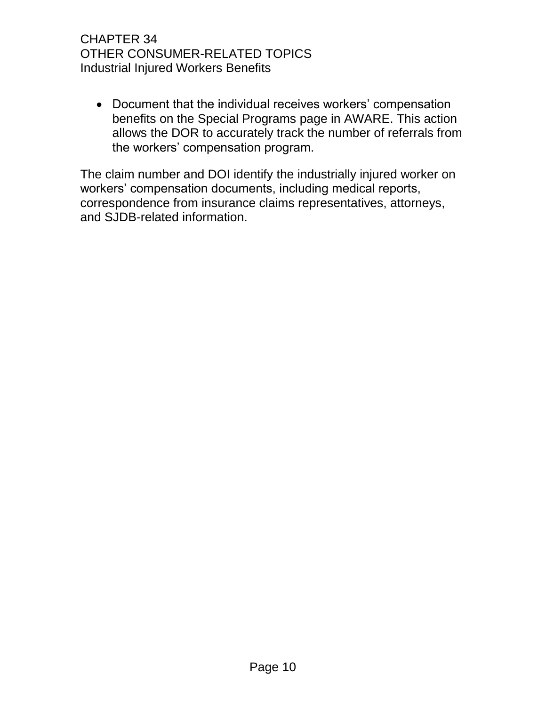Document that the individual receives workers' compensation benefits on the Special Programs page in AWARE. This action allows the DOR to accurately track the number of referrals from the workers' compensation program.

The claim number and DOI identify the industrially injured worker on workers' compensation documents, including medical reports, correspondence from insurance claims representatives, attorneys, and SJDB-related information.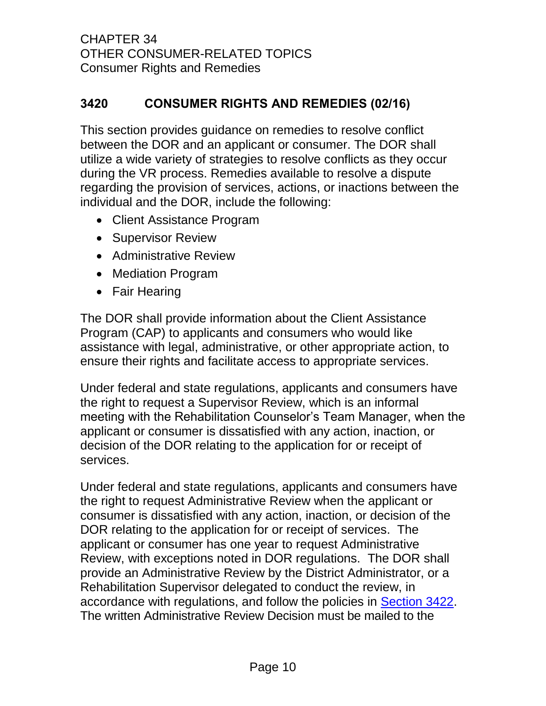## <span id="page-13-0"></span>**3420 CONSUMER RIGHTS AND REMEDIES (02/16)**

This section provides guidance on remedies to resolve conflict between the DOR and an applicant or consumer. The DOR shall utilize a wide variety of strategies to resolve conflicts as they occur during the VR process. Remedies available to resolve a dispute regarding the provision of services, actions, or inactions between the individual and the DOR, include the following:

- Client Assistance Program
- Supervisor Review
- Administrative Review
- Mediation Program
- Fair Hearing

The DOR shall provide information about the Client Assistance Program (CAP) to applicants and consumers who would like assistance with legal, administrative, or other appropriate action, to ensure their rights and facilitate access to appropriate services.

Under federal and state regulations, applicants and consumers have the right to request a Supervisor Review, which is an informal meeting with the Rehabilitation Counselor's Team Manager, when the applicant or consumer is dissatisfied with any action, inaction, or decision of the DOR relating to the application for or receipt of services.

Under federal and state regulations, applicants and consumers have the right to request Administrative Review when the applicant or consumer is dissatisfied with any action, inaction, or decision of the DOR relating to the application for or receipt of services. The applicant or consumer has one year to request Administrative Review, with exceptions noted in DOR regulations. The DOR shall provide an Administrative Review by the District Administrator, or a Rehabilitation Supervisor delegated to conduct the review, in accordance with regulations, and follow the policies in [Section 3422.](#page-17-0) The written Administrative Review Decision must be mailed to the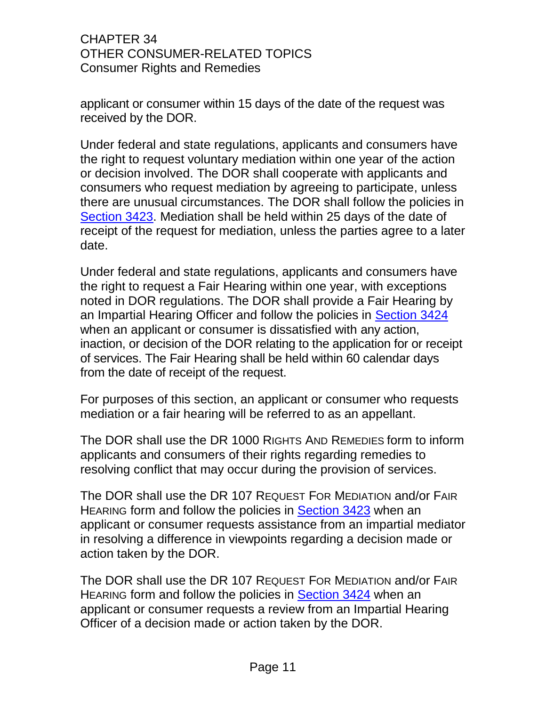applicant or consumer within 15 days of the date of the request was received by the DOR.

Under federal and state regulations, applicants and consumers have the right to request voluntary mediation within one year of the action or decision involved. The DOR shall cooperate with applicants and consumers who request mediation by agreeing to participate, unless there are unusual circumstances. The DOR shall follow the policies in [Section 3423.](#page-18-0) Mediation shall be held within 25 days of the date of receipt of the request for mediation, unless the parties agree to a later date.

Under federal and state regulations, applicants and consumers have the right to request a Fair Hearing within one year, with exceptions noted in DOR regulations. The DOR shall provide a Fair Hearing by an Impartial Hearing Officer and follow the policies in [Section 3424](#page-22-0) when an applicant or consumer is dissatisfied with any action, inaction, or decision of the DOR relating to the application for or receipt of services. The Fair Hearing shall be held within 60 calendar days from the date of receipt of the request.

For purposes of this section, an applicant or consumer who requests mediation or a fair hearing will be referred to as an appellant.

The DOR shall use the DR 1000 RIGHTS AND REMEDIES form to inform applicants and consumers of their rights regarding remedies to resolving conflict that may occur during the provision of services.

The DOR shall use the DR 107 REQUEST FOR MEDIATION and/or FAIR HEARING form and follow the policies in [Section 3423](#page-18-0) when an applicant or consumer requests assistance from an impartial mediator in resolving a difference in viewpoints regarding a decision made or action taken by the DOR.

The DOR shall use the DR 107 REQUEST FOR MEDIATION and/or FAIR HEARING form and follow the policies in [Section 3424](#page-22-0) when an applicant or consumer requests a review from an Impartial Hearing Officer of a decision made or action taken by the DOR.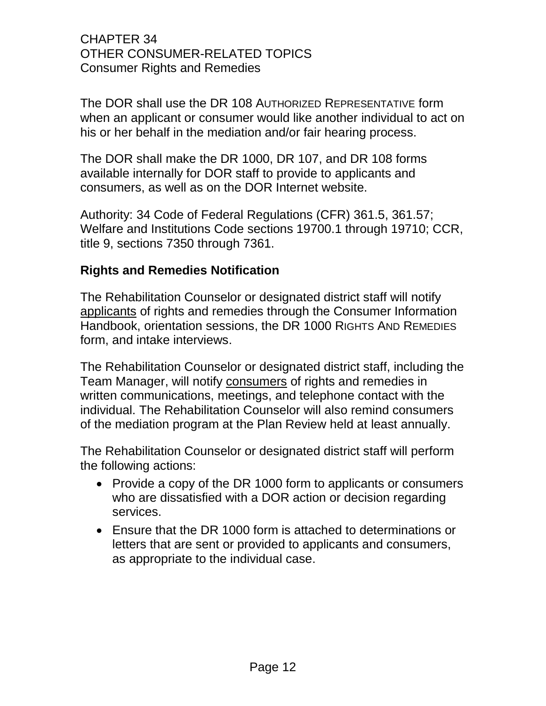The DOR shall use the DR 108 AUTHORIZED REPRESENTATIVE form when an applicant or consumer would like another individual to act on his or her behalf in the mediation and/or fair hearing process.

The DOR shall make the DR 1000, DR 107, and DR 108 forms available internally for DOR staff to provide to applicants and consumers, as well as on the DOR Internet website.

Authority: 34 Code of Federal Regulations (CFR) 361.5, 361.57; Welfare and Institutions Code sections 19700.1 through 19710; CCR, title 9, sections 7350 through 7361.

#### **Rights and Remedies Notification**

The Rehabilitation Counselor or designated district staff will notify applicants of rights and remedies through the Consumer Information Handbook, orientation sessions, the DR 1000 RIGHTS AND REMEDIES form, and intake interviews.

The Rehabilitation Counselor or designated district staff, including the Team Manager, will notify consumers of rights and remedies in written communications, meetings, and telephone contact with the individual. The Rehabilitation Counselor will also remind consumers of the mediation program at the Plan Review held at least annually.

The Rehabilitation Counselor or designated district staff will perform the following actions:

- Provide a copy of the DR 1000 form to applicants or consumers who are dissatisfied with a DOR action or decision regarding services.
- Ensure that the DR 1000 form is attached to determinations or letters that are sent or provided to applicants and consumers, as appropriate to the individual case.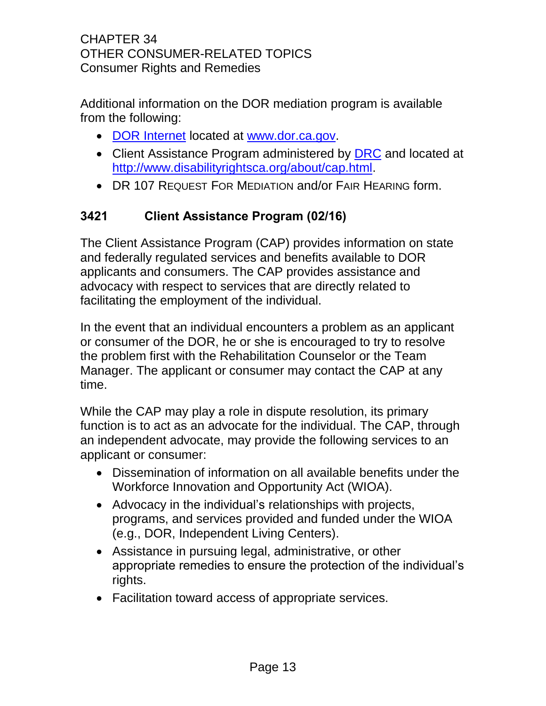Additional information on the DOR mediation program is available from the following:

- [DOR Internet](http://www.dor.ca.gov/) located at [www.dor.ca.gov.](file://dorgroup/group/CentralOffice/VRPRD/PPI/Nancy/RAM%20Coordination/RAM%20Development%20team/RAM34%20Other%20Consumer%20Related%20Topics/RAM34%20Drafts%20for%20Legal%202015%2010%2020/Legal%20Response%20to%20RAM%20C34/RAM%20C34%20Legal%20Response%20Misc%20Sections/www.dor.ca.gov)
- Client Assistance Program administered by **DRC** and located at [http://www.disabilityrightsca.org/about/cap.html.](http://www.disabilityrightsca.org/about/cap.html)
- DR 107 REQUEST FOR MEDIATION and/or FAIR HEARING form.

# <span id="page-16-0"></span>**3421 Client Assistance Program (02/16)**

The Client Assistance Program (CAP) provides information on state and federally regulated services and benefits available to DOR applicants and consumers. The CAP provides assistance and advocacy with respect to services that are directly related to facilitating the employment of the individual.

In the event that an individual encounters a problem as an applicant or consumer of the DOR, he or she is encouraged to try to resolve the problem first with the Rehabilitation Counselor or the Team Manager. The applicant or consumer may contact the CAP at any time.

While the CAP may play a role in dispute resolution, its primary function is to act as an advocate for the individual. The CAP, through an independent advocate, may provide the following services to an applicant or consumer:

- Dissemination of information on all available benefits under the Workforce Innovation and Opportunity Act (WIOA).
- Advocacy in the individual's relationships with projects, programs, and services provided and funded under the WIOA (e.g., DOR, Independent Living Centers).
- Assistance in pursuing legal, administrative, or other appropriate remedies to ensure the protection of the individual's rights.
- Facilitation toward access of appropriate services.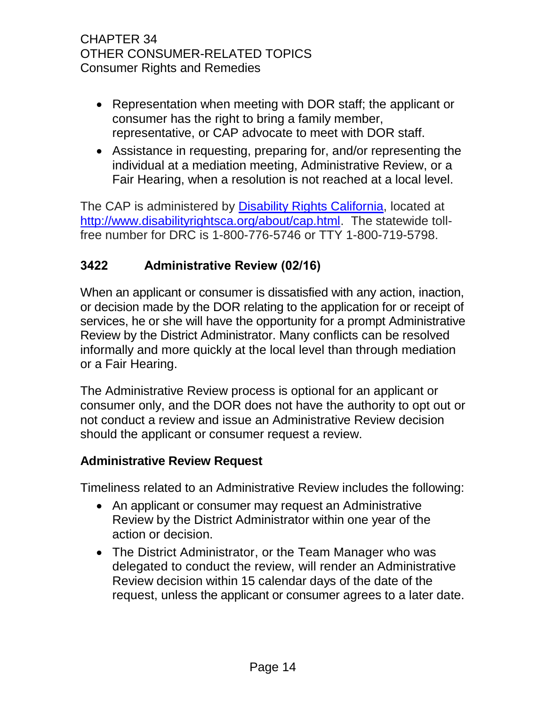- Representation when meeting with DOR staff; the applicant or consumer has the right to bring a family member, representative, or CAP advocate to meet with DOR staff.
- Assistance in requesting, preparing for, and/or representing the individual at a mediation meeting, Administrative Review, or a Fair Hearing, when a resolution is not reached at a local level.

The CAP is administered by [Disability Rights California,](http://www.disabilityrightsca.org/about/cap.html) located at [http://www.disabilityrightsca.org/about/cap.html.](http://www.disabilityrightsca.org/about/cap.html) The statewide tollfree number for DRC is 1-800-776-5746 or TTY 1-800-719-5798.

## <span id="page-17-0"></span>**3422 Administrative Review (02/16)**

When an applicant or consumer is dissatisfied with any action, inaction, or decision made by the DOR relating to the application for or receipt of services, he or she will have the opportunity for a prompt Administrative Review by the District Administrator. Many conflicts can be resolved informally and more quickly at the local level than through mediation or a Fair Hearing.

The Administrative Review process is optional for an applicant or consumer only, and the DOR does not have the authority to opt out or not conduct a review and issue an Administrative Review decision should the applicant or consumer request a review.

#### **Administrative Review Request**

Timeliness related to an Administrative Review includes the following:

- An applicant or consumer may request an Administrative Review by the District Administrator within one year of the action or decision.
- The District Administrator, or the Team Manager who was delegated to conduct the review, will render an Administrative Review decision within 15 calendar days of the date of the request, unless the applicant or consumer agrees to a later date.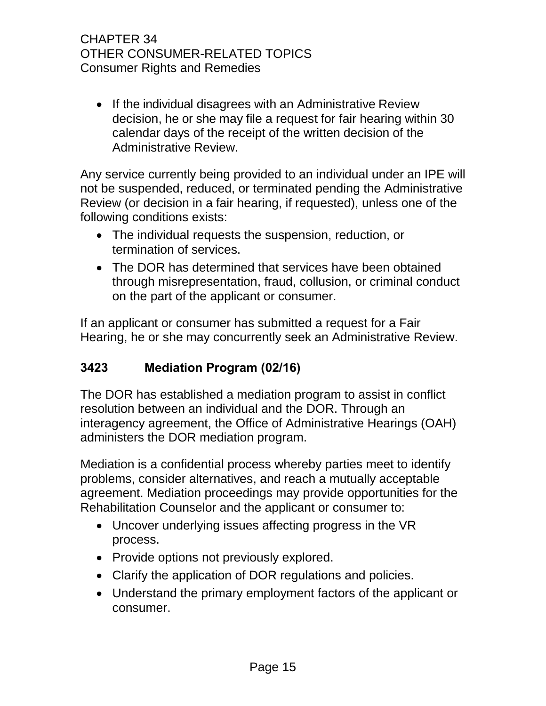• If the individual disagrees with an Administrative Review decision, he or she may file a request for fair hearing within 30 calendar days of the receipt of the written decision of the Administrative Review.

Any service currently being provided to an individual under an IPE will not be suspended, reduced, or terminated pending the Administrative Review (or decision in a fair hearing, if requested), unless one of the following conditions exists:

- The individual requests the suspension, reduction, or termination of services.
- The DOR has determined that services have been obtained through misrepresentation, fraud, collusion, or criminal conduct on the part of the applicant or consumer.

If an applicant or consumer has submitted a request for a Fair Hearing, he or she may concurrently seek an Administrative Review.

## <span id="page-18-0"></span>**3423 Mediation Program (02/16)**

The DOR has established a mediation program to assist in conflict resolution between an individual and the DOR. Through an interagency agreement, the Office of Administrative Hearings (OAH) administers the DOR mediation program.

Mediation is a confidential process whereby parties meet to identify problems, consider alternatives, and reach a mutually acceptable agreement. Mediation proceedings may provide opportunities for the Rehabilitation Counselor and the applicant or consumer to:

- Uncover underlying issues affecting progress in the VR process.
- Provide options not previously explored.
- Clarify the application of DOR regulations and policies.
- Understand the primary employment factors of the applicant or consumer.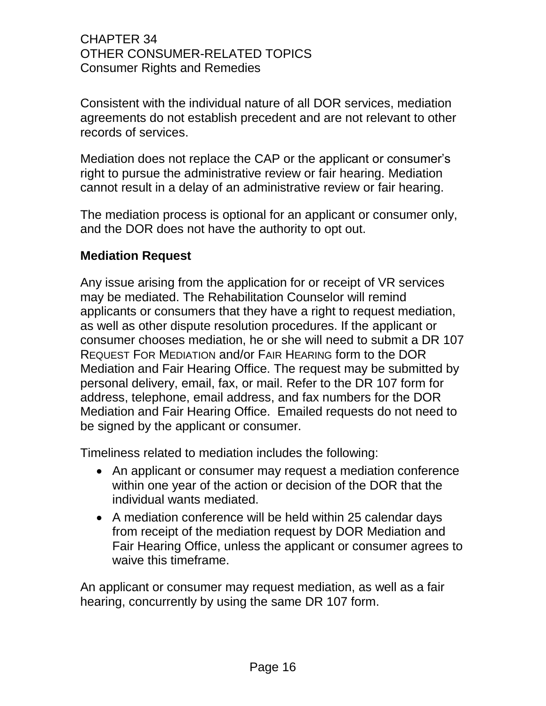Consistent with the individual nature of all DOR services, mediation agreements do not establish precedent and are not relevant to other records of services.

Mediation does not replace the CAP or the applicant or consumer's right to pursue the administrative review or fair hearing. Mediation cannot result in a delay of an administrative review or fair hearing.

The mediation process is optional for an applicant or consumer only, and the DOR does not have the authority to opt out.

### **Mediation Request**

Any issue arising from the application for or receipt of VR services may be mediated. The Rehabilitation Counselor will remind applicants or consumers that they have a right to request mediation, as well as other dispute resolution procedures. If the applicant or consumer chooses mediation, he or she will need to submit a DR 107 REQUEST FOR MEDIATION and/or FAIR HEARING form to the DOR Mediation and Fair Hearing Office. The request may be submitted by personal delivery, email, fax, or mail. Refer to the DR 107 form for address, telephone, email address, and fax numbers for the DOR Mediation and Fair Hearing Office. Emailed requests do not need to be signed by the applicant or consumer.

Timeliness related to mediation includes the following:

- An applicant or consumer may request a mediation conference within one year of the action or decision of the DOR that the individual wants mediated.
- A mediation conference will be held within 25 calendar days from receipt of the mediation request by DOR Mediation and Fair Hearing Office, unless the applicant or consumer agrees to waive this timeframe.

An applicant or consumer may request mediation, as well as a fair hearing, concurrently by using the same DR 107 form.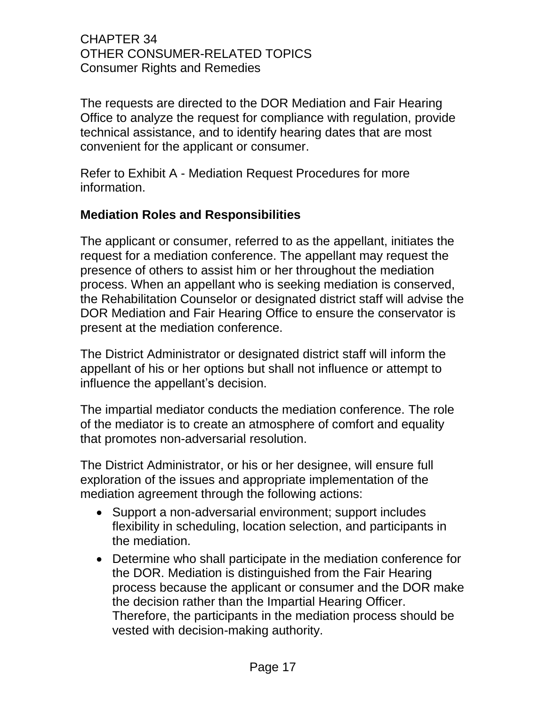The requests are directed to the DOR Mediation and Fair Hearing Office to analyze the request for compliance with regulation, provide technical assistance, and to identify hearing dates that are most convenient for the applicant or consumer.

Refer to Exhibit A - Mediation Request Procedures for more information.

## **Mediation Roles and Responsibilities**

The applicant or consumer, referred to as the appellant, initiates the request for a mediation conference. The appellant may request the presence of others to assist him or her throughout the mediation process. When an appellant who is seeking mediation is conserved, the Rehabilitation Counselor or designated district staff will advise the DOR Mediation and Fair Hearing Office to ensure the conservator is present at the mediation conference.

The District Administrator or designated district staff will inform the appellant of his or her options but shall not influence or attempt to influence the appellant's decision.

The impartial mediator conducts the mediation conference. The role of the mediator is to create an atmosphere of comfort and equality that promotes non-adversarial resolution.

The District Administrator, or his or her designee, will ensure full exploration of the issues and appropriate implementation of the mediation agreement through the following actions:

- Support a non-adversarial environment; support includes flexibility in scheduling, location selection, and participants in the mediation.
- Determine who shall participate in the mediation conference for the DOR. Mediation is distinguished from the Fair Hearing process because the applicant or consumer and the DOR make the decision rather than the Impartial Hearing Officer. Therefore, the participants in the mediation process should be vested with decision-making authority.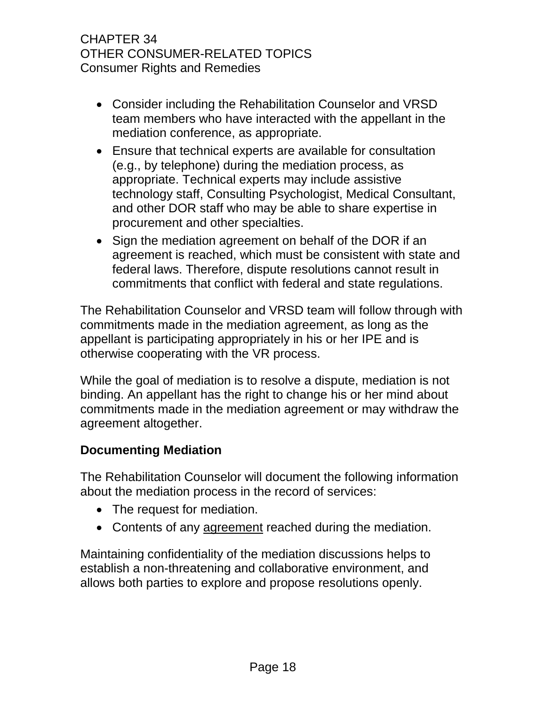- Consider including the Rehabilitation Counselor and VRSD team members who have interacted with the appellant in the mediation conference, as appropriate.
- Ensure that technical experts are available for consultation (e.g., by telephone) during the mediation process, as appropriate. Technical experts may include assistive technology staff, Consulting Psychologist, Medical Consultant, and other DOR staff who may be able to share expertise in procurement and other specialties.
- Sign the mediation agreement on behalf of the DOR if an agreement is reached, which must be consistent with state and federal laws. Therefore, dispute resolutions cannot result in commitments that conflict with federal and state regulations.

The Rehabilitation Counselor and VRSD team will follow through with commitments made in the mediation agreement, as long as the appellant is participating appropriately in his or her IPE and is otherwise cooperating with the VR process.

While the goal of mediation is to resolve a dispute, mediation is not binding. An appellant has the right to change his or her mind about commitments made in the mediation agreement or may withdraw the agreement altogether.

#### **Documenting Mediation**

The Rehabilitation Counselor will document the following information about the mediation process in the record of services:

- The request for mediation.
- Contents of any agreement reached during the mediation.

Maintaining confidentiality of the mediation discussions helps to establish a non-threatening and collaborative environment, and allows both parties to explore and propose resolutions openly.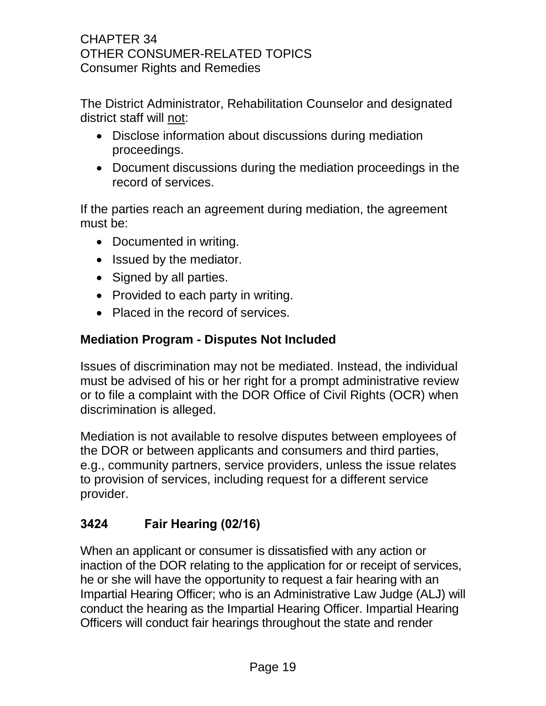The District Administrator, Rehabilitation Counselor and designated district staff will not:

- Disclose information about discussions during mediation proceedings.
- Document discussions during the mediation proceedings in the record of services.

If the parties reach an agreement during mediation, the agreement must be:

- Documented in writing.
- Issued by the mediator.
- Signed by all parties.
- Provided to each party in writing.
- Placed in the record of services.

### **Mediation Program - Disputes Not Included**

Issues of discrimination may not be mediated. Instead, the individual must be advised of his or her right for a prompt administrative review or to file a complaint with the DOR Office of Civil Rights (OCR) when discrimination is alleged.

Mediation is not available to resolve disputes between employees of the DOR or between applicants and consumers and third parties, e.g., community partners, service providers, unless the issue relates to provision of services, including request for a different service provider.

## <span id="page-22-0"></span>**3424 Fair Hearing (02/16)**

When an applicant or consumer is dissatisfied with any action or inaction of the DOR relating to the application for or receipt of services, he or she will have the opportunity to request a fair hearing with an Impartial Hearing Officer; who is an Administrative Law Judge (ALJ) will conduct the hearing as the Impartial Hearing Officer. Impartial Hearing Officers will conduct fair hearings throughout the state and render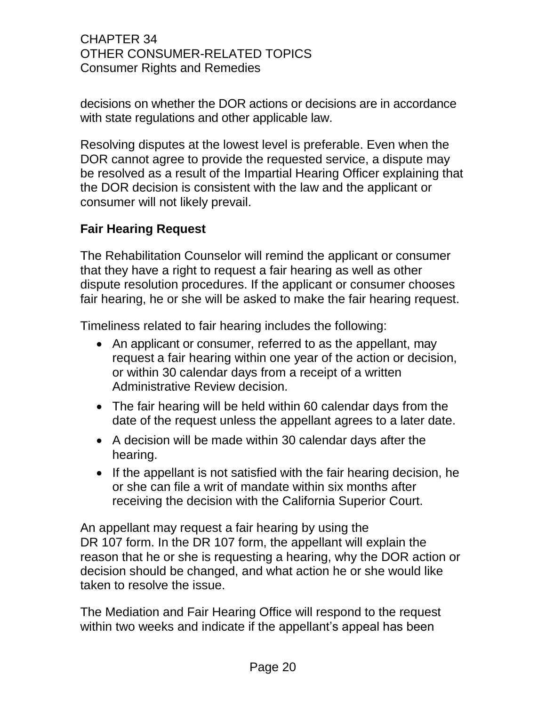decisions on whether the DOR actions or decisions are in accordance with state regulations and other applicable law.

Resolving disputes at the lowest level is preferable. Even when the DOR cannot agree to provide the requested service, a dispute may be resolved as a result of the Impartial Hearing Officer explaining that the DOR decision is consistent with the law and the applicant or consumer will not likely prevail.

### **Fair Hearing Request**

The Rehabilitation Counselor will remind the applicant or consumer that they have a right to request a fair hearing as well as other dispute resolution procedures. If the applicant or consumer chooses fair hearing, he or she will be asked to make the fair hearing request.

Timeliness related to fair hearing includes the following:

- An applicant or consumer, referred to as the appellant, may request a fair hearing within one year of the action or decision, or within 30 calendar days from a receipt of a written Administrative Review decision.
- The fair hearing will be held within 60 calendar days from the date of the request unless the appellant agrees to a later date.
- A decision will be made within 30 calendar days after the hearing.
- If the appellant is not satisfied with the fair hearing decision, he or she can file a writ of mandate within six months after receiving the decision with the California Superior Court.

An appellant may request a fair hearing by using the DR 107 form. In the DR 107 form, the appellant will explain the reason that he or she is requesting a hearing, why the DOR action or decision should be changed, and what action he or she would like taken to resolve the issue.

The Mediation and Fair Hearing Office will respond to the request within two weeks and indicate if the appellant's appeal has been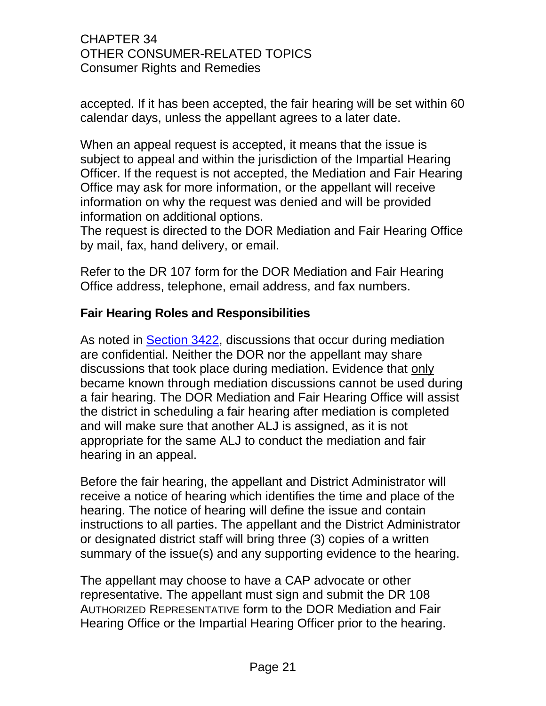accepted. If it has been accepted, the fair hearing will be set within 60 calendar days, unless the appellant agrees to a later date.

When an appeal request is accepted, it means that the issue is subject to appeal and within the jurisdiction of the Impartial Hearing Officer. If the request is not accepted, the Mediation and Fair Hearing Office may ask for more information, or the appellant will receive information on why the request was denied and will be provided information on additional options.

The request is directed to the DOR Mediation and Fair Hearing Office by mail, fax, hand delivery, or email.

Refer to the DR 107 form for the DOR Mediation and Fair Hearing Office address, telephone, email address, and fax numbers.

#### **Fair Hearing Roles and Responsibilities**

As noted in [Section 3422,](#page-17-0) discussions that occur during mediation are confidential. Neither the DOR nor the appellant may share discussions that took place during mediation. Evidence that only became known through mediation discussions cannot be used during a fair hearing. The DOR Mediation and Fair Hearing Office will assist the district in scheduling a fair hearing after mediation is completed and will make sure that another ALJ is assigned, as it is not appropriate for the same ALJ to conduct the mediation and fair hearing in an appeal.

Before the fair hearing, the appellant and District Administrator will receive a notice of hearing which identifies the time and place of the hearing. The notice of hearing will define the issue and contain instructions to all parties. The appellant and the District Administrator or designated district staff will bring three (3) copies of a written summary of the issue(s) and any supporting evidence to the hearing.

The appellant may choose to have a CAP advocate or other representative. The appellant must sign and submit the DR 108 AUTHORIZED REPRESENTATIVE form to the DOR Mediation and Fair Hearing Office or the Impartial Hearing Officer prior to the hearing.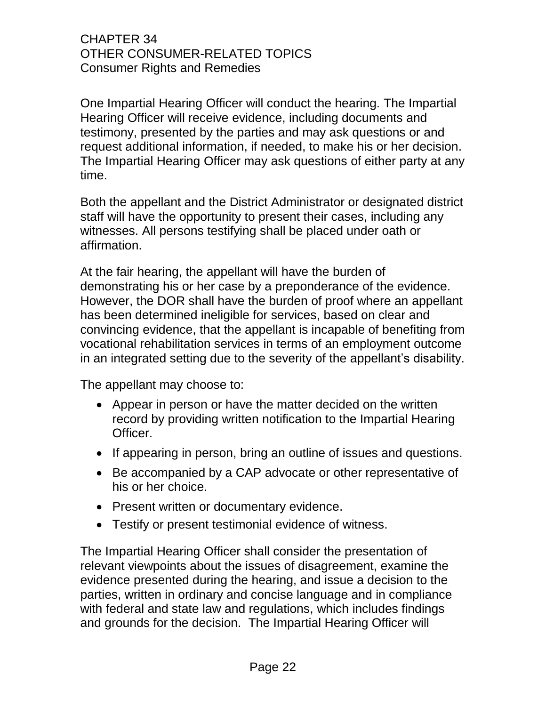One Impartial Hearing Officer will conduct the hearing. The Impartial Hearing Officer will receive evidence, including documents and testimony, presented by the parties and may ask questions or and request additional information, if needed, to make his or her decision. The Impartial Hearing Officer may ask questions of either party at any time.

Both the appellant and the District Administrator or designated district staff will have the opportunity to present their cases, including any witnesses. All persons testifying shall be placed under oath or affirmation.

At the fair hearing, the appellant will have the burden of demonstrating his or her case by a preponderance of the evidence. However, the DOR shall have the burden of proof where an appellant has been determined ineligible for services, based on clear and convincing evidence, that the appellant is incapable of benefiting from vocational rehabilitation services in terms of an employment outcome in an integrated setting due to the severity of the appellant's disability.

The appellant may choose to:

- Appear in person or have the matter decided on the written record by providing written notification to the Impartial Hearing Officer.
- If appearing in person, bring an outline of issues and questions.
- Be accompanied by a CAP advocate or other representative of his or her choice.
- Present written or documentary evidence.
- Testify or present testimonial evidence of witness.

The Impartial Hearing Officer shall consider the presentation of relevant viewpoints about the issues of disagreement, examine the evidence presented during the hearing, and issue a decision to the parties, written in ordinary and concise language and in compliance with federal and state law and regulations, which includes findings and grounds for the decision. The Impartial Hearing Officer will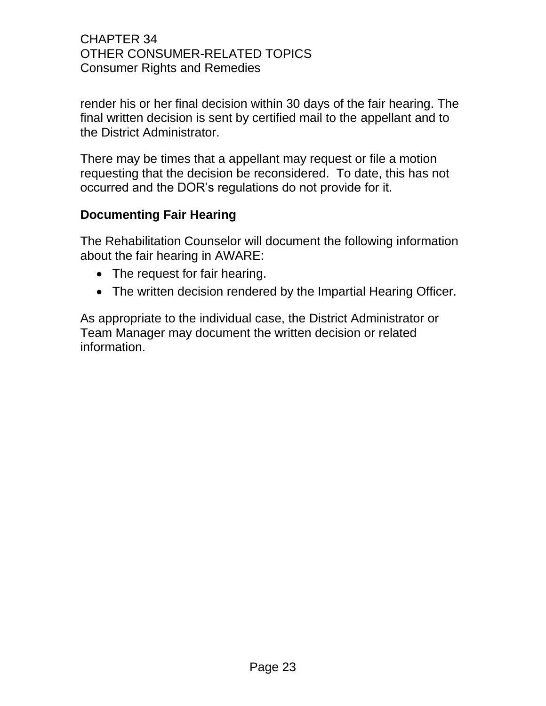render his or her final decision within 30 days of the fair hearing. The final written decision is sent by certified mail to the appellant and to the District Administrator.

There may be times that a appellant may request or file a motion requesting that the decision be reconsidered. To date, this has not occurred and the DOR's regulations do not provide for it.

### **Documenting Fair Hearing**

The Rehabilitation Counselor will document the following information about the fair hearing in AWARE:

- The request for fair hearing.
- The written decision rendered by the Impartial Hearing Officer.

As appropriate to the individual case, the District Administrator or Team Manager may document the written decision or related information.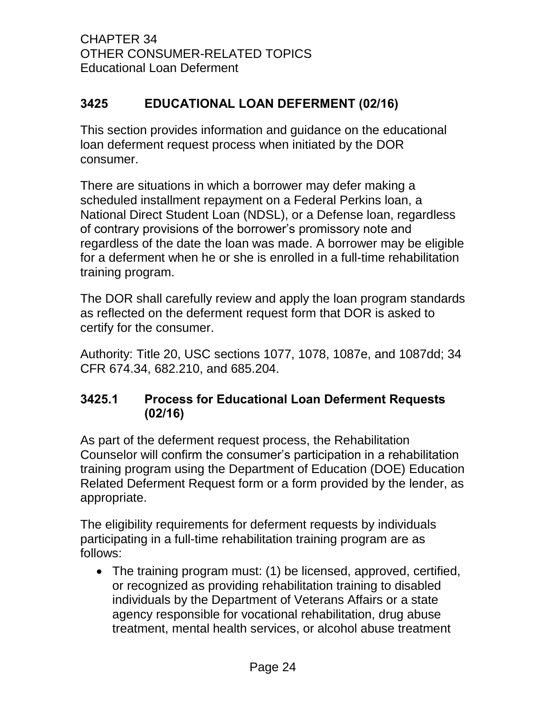CHAPTER 34 OTHER CONSUMER-RELATED TOPICS Educational Loan Deferment

## <span id="page-27-0"></span>**3425 EDUCATIONAL LOAN DEFERMENT (02/16)**

This section provides information and guidance on the educational loan deferment request process when initiated by the DOR consumer.

There are situations in which a borrower may defer making a scheduled installment repayment on a Federal Perkins loan, a National Direct Student Loan (NDSL), or a Defense loan, regardless of contrary provisions of the borrower's promissory note and regardless of the date the loan was made. A borrower may be eligible for a deferment when he or she is enrolled in a full-time rehabilitation training program.

The DOR shall carefully review and apply the loan program standards as reflected on the deferment request form that DOR is asked to certify for the consumer.

Authority: Title 20, USC sections 1077, 1078, 1087e, and 1087dd; 34 CFR 674.34, 682.210, and 685.204.

## <span id="page-27-1"></span>**3425.1 Process for Educational Loan Deferment Requests (02/16)**

As part of the deferment request process, the Rehabilitation Counselor will confirm the consumer's participation in a rehabilitation training program using the Department of Education (DOE) Education Related Deferment Request form or a form provided by the lender, as appropriate.

The eligibility requirements for deferment requests by individuals participating in a full-time rehabilitation training program are as follows:

 The training program must: (1) be licensed, approved, certified, or recognized as providing rehabilitation training to disabled individuals by the Department of Veterans Affairs or a state agency responsible for vocational rehabilitation, drug abuse treatment, mental health services, or alcohol abuse treatment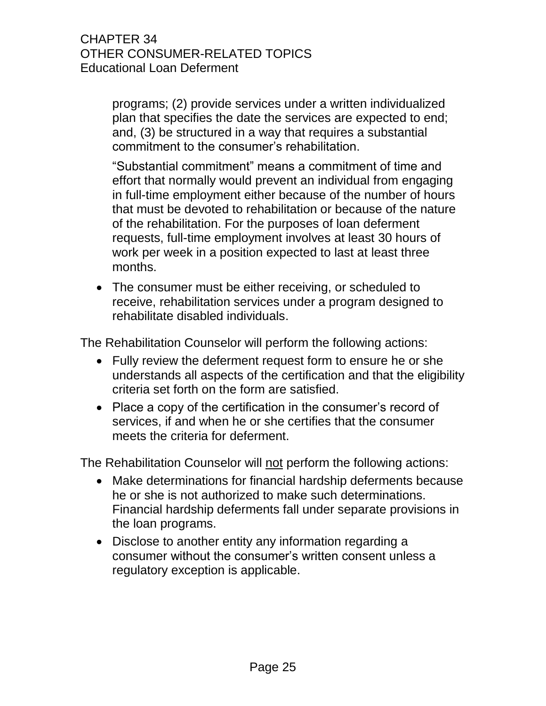programs; (2) provide services under a written individualized plan that specifies the date the services are expected to end; and, (3) be structured in a way that requires a substantial commitment to the consumer's rehabilitation.

"Substantial commitment" means a commitment of time and effort that normally would prevent an individual from engaging in full-time employment either because of the number of hours that must be devoted to rehabilitation or because of the nature of the rehabilitation. For the purposes of loan deferment requests, full-time employment involves at least 30 hours of work per week in a position expected to last at least three months.

 The consumer must be either receiving, or scheduled to receive, rehabilitation services under a program designed to rehabilitate disabled individuals.

The Rehabilitation Counselor will perform the following actions:

- Fully review the deferment request form to ensure he or she understands all aspects of the certification and that the eligibility criteria set forth on the form are satisfied.
- Place a copy of the certification in the consumer's record of services, if and when he or she certifies that the consumer meets the criteria for deferment.

The Rehabilitation Counselor will not perform the following actions:

- Make determinations for financial hardship deferments because he or she is not authorized to make such determinations. Financial hardship deferments fall under separate provisions in the loan programs.
- Disclose to another entity any information regarding a consumer without the consumer's written consent unless a regulatory exception is applicable.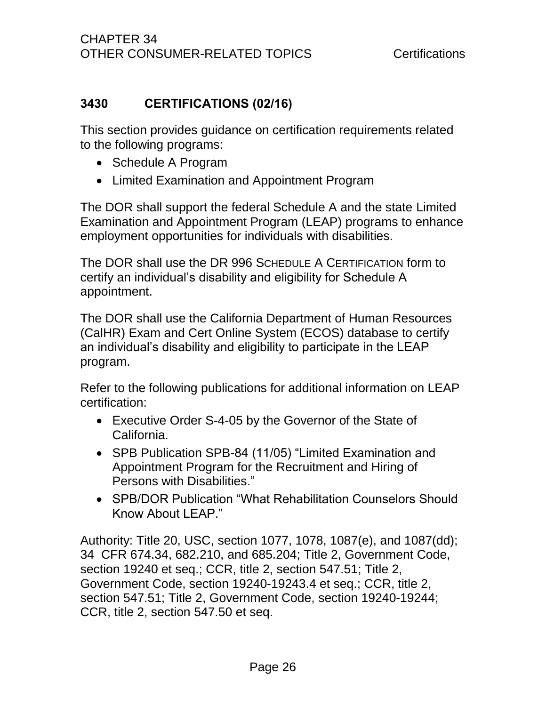## <span id="page-29-0"></span>**3430 CERTIFICATIONS (02/16)**

This section provides guidance on certification requirements related to the following programs:

- Schedule A Program
- Limited Examination and Appointment Program

The DOR shall support the federal Schedule A and the state Limited Examination and Appointment Program (LEAP) programs to enhance employment opportunities for individuals with disabilities.

The DOR shall use the DR 996 SCHEDULE A CERTIFICATION form to certify an individual's disability and eligibility for Schedule A appointment.

The DOR shall use the California Department of Human Resources (CalHR) Exam and Cert Online System (ECOS) database to certify an individual's disability and eligibility to participate in the LEAP program.

Refer to the following publications for additional information on LEAP certification:

- Executive Order S-4-05 by the Governor of the State of California.
- SPB Publication SPB-84 (11/05) "Limited Examination and Appointment Program for the Recruitment and Hiring of Persons with Disabilities."
- SPB/DOR Publication "What Rehabilitation Counselors Should Know About LEAP."

Authority: Title 20, USC, section 1077, 1078, 1087(e), and 1087(dd); 34 CFR 674.34, 682.210, and 685.204; Title 2, Government Code, section 19240 et seq.; CCR, title 2, section 547.51; Title 2, Government Code, section 19240-19243.4 et seq.; CCR, title 2, section 547.51; Title 2, Government Code, section 19240-19244; CCR, title 2, section 547.50 et seq.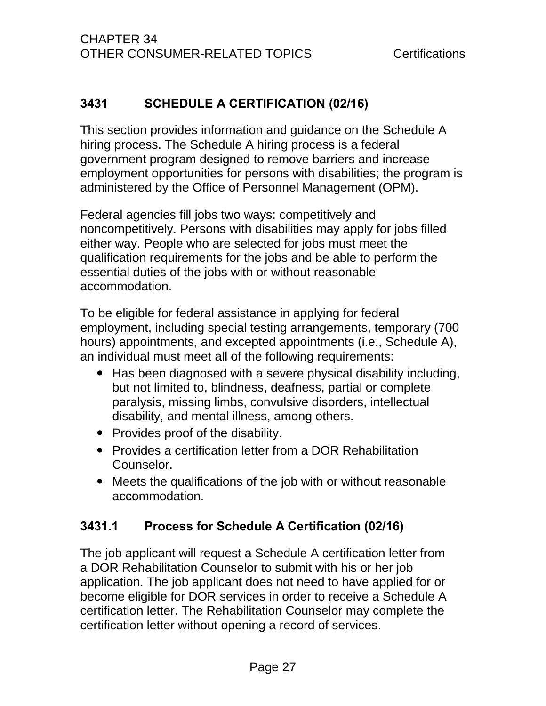## <span id="page-30-0"></span>**3431 SCHEDULE A CERTIFICATION (02/16)**

This section provides information and guidance on the Schedule A hiring process. The Schedule A hiring process is a federal government program designed to remove barriers and increase employment opportunities for persons with disabilities; the program is administered by the Office of Personnel Management (OPM).

Federal agencies fill jobs two ways: competitively and noncompetitively. Persons with disabilities may apply for jobs filled either way. People who are selected for jobs must meet the qualification requirements for the jobs and be able to perform the essential duties of the jobs with or without reasonable accommodation.

To be eligible for federal assistance in applying for federal employment, including special testing arrangements, temporary (700 hours) appointments, and excepted appointments (i.e., Schedule A), an individual must meet all of the following requirements:

- Has been diagnosed with a severe physical disability including, but not limited to, blindness, deafness, partial or complete paralysis, missing limbs, convulsive disorders, intellectual disability, and mental illness, among others.
- Provides proof of the disability.
- Provides a certification letter from a DOR Rehabilitation Counselor.
- Meets the qualifications of the job with or without reasonable accommodation.

## <span id="page-30-1"></span>**3431.1 Process for Schedule A Certification (02/16)**

The job applicant will request a Schedule A certification letter from a DOR Rehabilitation Counselor to submit with his or her job application. The job applicant does not need to have applied for or become eligible for DOR services in order to receive a Schedule A certification letter. The Rehabilitation Counselor may complete the certification letter without opening a record of services.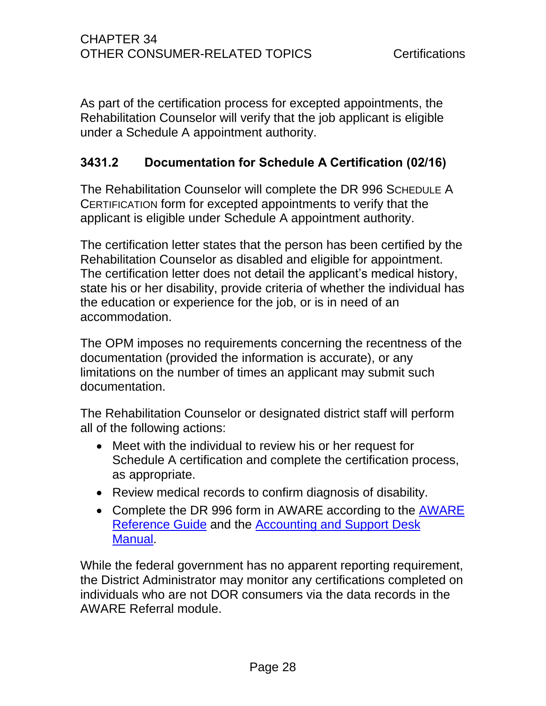As part of the certification process for excepted appointments, the Rehabilitation Counselor will verify that the job applicant is eligible under a Schedule A appointment authority.

## <span id="page-31-0"></span>**3431.2 Documentation for Schedule A Certification (02/16)**

The Rehabilitation Counselor will complete the DR 996 SCHEDULE A CERTIFICATION form for excepted appointments to verify that the applicant is eligible under Schedule A appointment authority.

The certification letter states that the person has been certified by the Rehabilitation Counselor as disabled and eligible for appointment. The certification letter does not detail the applicant's medical history, state his or her disability, provide criteria of whether the individual has the education or experience for the job, or is in need of an accommodation.

The OPM imposes no requirements concerning the recentness of the documentation (provided the information is accurate), or any limitations on the number of times an applicant may submit such documentation.

The Rehabilitation Counselor or designated district staff will perform all of the following actions:

- Meet with the individual to review his or her request for Schedule A certification and complete the certification process, as appropriate.
- Review medical records to confirm diagnosis of disability.
- Complete the DR 996 form in [AWARE](http://drdomino/aware/documents/pdf/AWARE%20Reference%20Guide%20Jan%202015.pdf) according to the AWARE [Reference Guide](http://drdomino/aware/documents/pdf/AWARE%20Reference%20Guide%20Jan%202015.pdf) and the [Accounting and Support Desk](file://dorgroup/group/Public%20Folder/Accounting%20and%20Support%20Desk%20Manuals)  [Manual.](file://dorgroup/group/Public%20Folder/Accounting%20and%20Support%20Desk%20Manuals)

While the federal government has no apparent reporting requirement, the District Administrator may monitor any certifications completed on individuals who are not DOR consumers via the data records in the AWARE Referral module.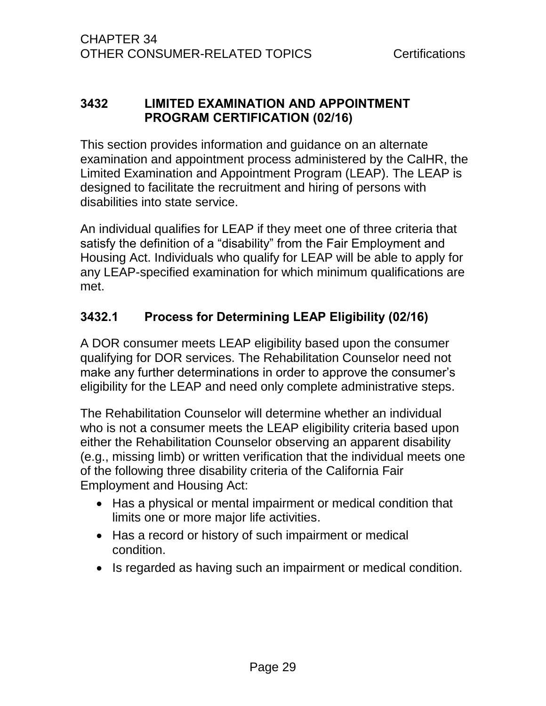### <span id="page-32-0"></span>**3432 LIMITED EXAMINATION AND APPOINTMENT PROGRAM CERTIFICATION (02/16)**

This section provides information and guidance on an alternate examination and appointment process administered by the CalHR, the Limited Examination and Appointment Program (LEAP). The LEAP is designed to facilitate the recruitment and hiring of persons with disabilities into state service.

An individual qualifies for LEAP if they meet one of three criteria that satisfy the definition of a "disability" from the Fair Employment and Housing Act. Individuals who qualify for LEAP will be able to apply for any LEAP-specified examination for which minimum qualifications are met.

## <span id="page-32-1"></span>**3432.1 Process for Determining LEAP Eligibility (02/16)**

A DOR consumer meets LEAP eligibility based upon the consumer qualifying for DOR services. The Rehabilitation Counselor need not make any further determinations in order to approve the consumer's eligibility for the LEAP and need only complete administrative steps.

The Rehabilitation Counselor will determine whether an individual who is not a consumer meets the LEAP eligibility criteria based upon either the Rehabilitation Counselor observing an apparent disability (e.g., missing limb) or written verification that the individual meets one of the following three disability criteria of the California Fair Employment and Housing Act:

- Has a physical or mental impairment or medical condition that limits one or more major life activities.
- Has a record or history of such impairment or medical condition.
- Is regarded as having such an impairment or medical condition.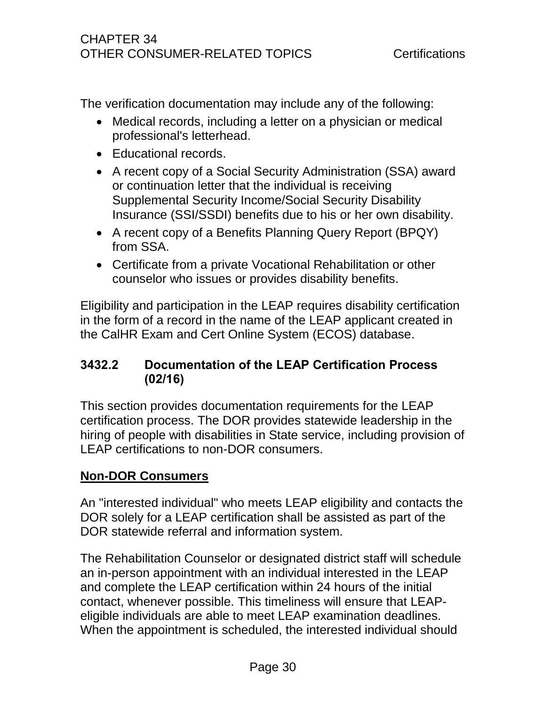The verification documentation may include any of the following:

- Medical records, including a letter on a physician or medical professional's letterhead.
- Educational records.
- A recent copy of a Social Security Administration (SSA) award or continuation letter that the individual is receiving Supplemental Security Income/Social Security Disability Insurance (SSI/SSDI) benefits due to his or her own disability.
- A recent copy of a Benefits Planning Query Report (BPQY) from SSA.
- Certificate from a private Vocational Rehabilitation or other counselor who issues or provides disability benefits.

Eligibility and participation in the LEAP requires disability certification in the form of a record in the name of the LEAP applicant created in the CalHR Exam and Cert Online System (ECOS) database.

## <span id="page-33-0"></span>**3432.2 Documentation of the LEAP Certification Process (02/16)**

This section provides documentation requirements for the LEAP certification process. The DOR provides statewide leadership in the hiring of people with disabilities in State service, including provision of LEAP certifications to non-DOR consumers.

## **Non-DOR Consumers**

An "interested individual" who meets LEAP eligibility and contacts the DOR solely for a LEAP certification shall be assisted as part of the DOR statewide referral and information system.

The Rehabilitation Counselor or designated district staff will schedule an in-person appointment with an individual interested in the LEAP and complete the LEAP certification within 24 hours of the initial contact, whenever possible. This timeliness will ensure that LEAPeligible individuals are able to meet LEAP examination deadlines. When the appointment is scheduled, the interested individual should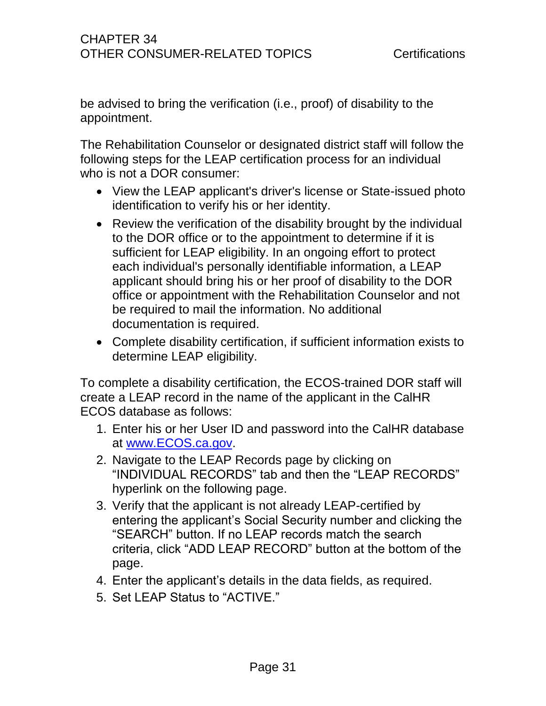be advised to bring the verification (i.e., proof) of disability to the appointment.

The Rehabilitation Counselor or designated district staff will follow the following steps for the LEAP certification process for an individual who is not a DOR consumer:

- View the LEAP applicant's driver's license or State-issued photo identification to verify his or her identity.
- Review the verification of the disability brought by the individual to the DOR office or to the appointment to determine if it is sufficient for LEAP eligibility. In an ongoing effort to protect each individual's personally identifiable information, a LEAP applicant should bring his or her proof of disability to the DOR office or appointment with the Rehabilitation Counselor and not be required to mail the information. No additional documentation is required.
- Complete disability certification, if sufficient information exists to determine LEAP eligibility.

To complete a disability certification, the ECOS-trained DOR staff will create a LEAP record in the name of the applicant in the CalHR ECOS database as follows:

- 1. Enter his or her User ID and password into the CalHR database at [www.ECOS.ca.gov.](http://www.ecos.ca.gov/)
- 2. Navigate to the LEAP Records page by clicking on "INDIVIDUAL RECORDS" tab and then the "LEAP RECORDS" hyperlink on the following page.
- 3. Verify that the applicant is not already LEAP-certified by entering the applicant's Social Security number and clicking the "SEARCH" button. If no LEAP records match the search criteria, click "ADD LEAP RECORD" button at the bottom of the page.
- 4. Enter the applicant's details in the data fields, as required.
- 5. Set LEAP Status to "ACTIVE."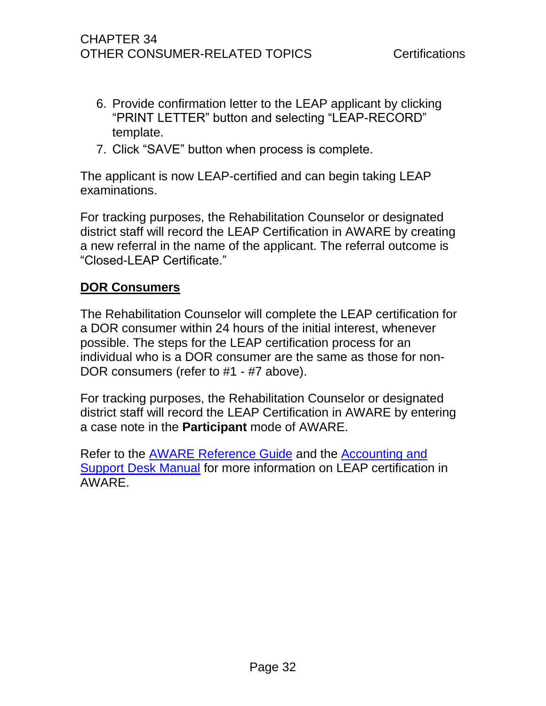- 6. Provide confirmation letter to the LEAP applicant by clicking "PRINT LETTER" button and selecting "LEAP-RECORD" template.
- 7. Click "SAVE" button when process is complete.

The applicant is now LEAP-certified and can begin taking LEAP examinations.

For tracking purposes, the Rehabilitation Counselor or designated district staff will record the LEAP Certification in AWARE by creating a new referral in the name of the applicant. The referral outcome is "Closed-LEAP Certificate."

### **DOR Consumers**

The Rehabilitation Counselor will complete the LEAP certification for a DOR consumer within 24 hours of the initial interest, whenever possible. The steps for the LEAP certification process for an individual who is a DOR consumer are the same as those for non-DOR consumers (refer to #1 - #7 above).

For tracking purposes, the Rehabilitation Counselor or designated district staff will record the LEAP Certification in AWARE by entering a case note in the **Participant** mode of AWARE.

Refer to the [AWARE Reference Guide](http://drdomino/aware/documents/pdf/AWARE%20Reference%20Guide%20Jan%202015.pdf) and the [Accounting and](file://dorgroup/group/Public%20Folder/Accounting%20and%20Support%20Desk%20Manuals)  [Support Desk Manual](file://dorgroup/group/Public%20Folder/Accounting%20and%20Support%20Desk%20Manuals) for more information on LEAP certification in AWARE.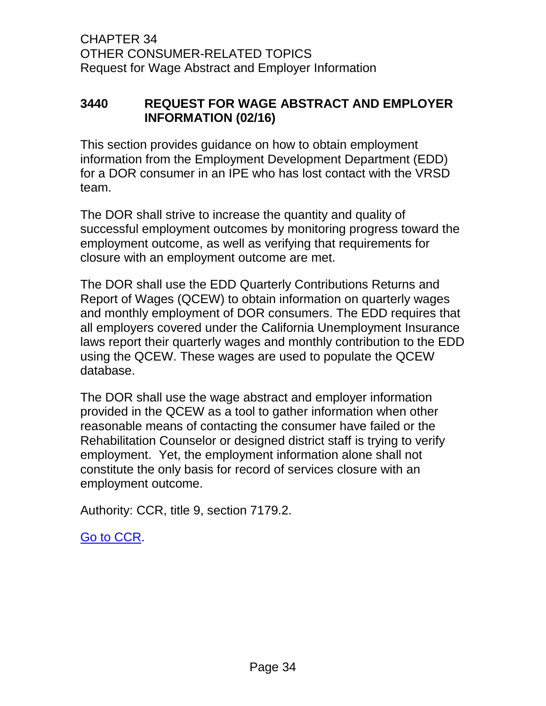### <span id="page-36-0"></span>**3440 REQUEST FOR WAGE ABSTRACT AND EMPLOYER INFORMATION (02/16)**

This section provides guidance on how to obtain employment information from the Employment Development Department (EDD) for a DOR consumer in an IPE who has lost contact with the VRSD team.

The DOR shall strive to increase the quantity and quality of successful employment outcomes by monitoring progress toward the employment outcome, as well as verifying that requirements for closure with an employment outcome are met.

The DOR shall use the EDD Quarterly Contributions Returns and Report of Wages (QCEW) to obtain information on quarterly wages and monthly employment of DOR consumers. The EDD requires that all employers covered under the California Unemployment Insurance laws report their quarterly wages and monthly contribution to the EDD using the QCEW. These wages are used to populate the QCEW database.

The DOR shall use the wage abstract and employer information provided in the QCEW as a tool to gather information when other reasonable means of contacting the consumer have failed or the Rehabilitation Counselor or designed district staff is trying to verify employment. Yet, the employment information alone shall not constitute the only basis for record of services closure with an employment outcome.

Authority: CCR, title 9, section 7179.2.

[Go to CCR.](file://dorgroup/group/User%20Resources/California%20Code%20of%20Regulations%20(CCR)/LATEST%20CCR/CCR%20DOR.docx)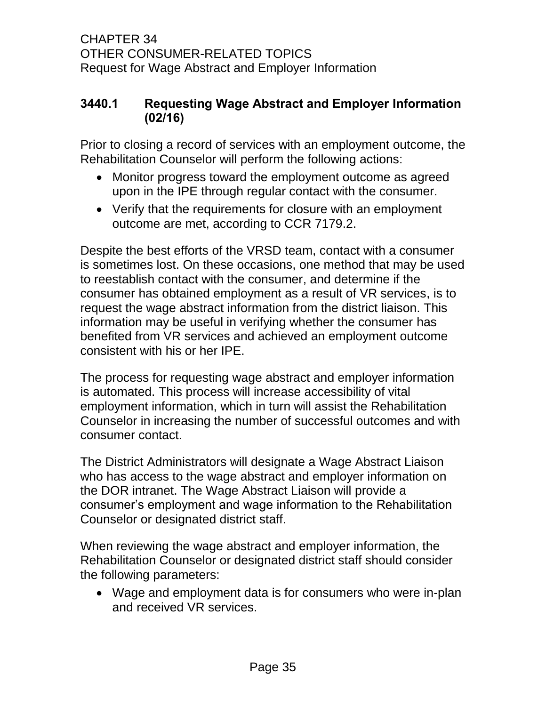CHAPTER 34 OTHER CONSUMER-RELATED TOPICS Request for Wage Abstract and Employer Information

### <span id="page-37-0"></span>**3440.1 Requesting Wage Abstract and Employer Information (02/16)**

Prior to closing a record of services with an employment outcome, the Rehabilitation Counselor will perform the following actions:

- Monitor progress toward the employment outcome as agreed upon in the IPE through regular contact with the consumer.
- Verify that the requirements for closure with an employment outcome are met, according to CCR 7179.2.

Despite the best efforts of the VRSD team, contact with a consumer is sometimes lost. On these occasions, one method that may be used to reestablish contact with the consumer, and determine if the consumer has obtained employment as a result of VR services, is to request the wage abstract information from the district liaison. This information may be useful in verifying whether the consumer has benefited from VR services and achieved an employment outcome consistent with his or her IPE.

The process for requesting wage abstract and employer information is automated. This process will increase accessibility of vital employment information, which in turn will assist the Rehabilitation Counselor in increasing the number of successful outcomes and with consumer contact.

The District Administrators will designate a Wage Abstract Liaison who has access to the wage abstract and employer information on the DOR intranet. The Wage Abstract Liaison will provide a consumer's employment and wage information to the Rehabilitation Counselor or designated district staff.

When reviewing the wage abstract and employer information, the Rehabilitation Counselor or designated district staff should consider the following parameters:

 Wage and employment data is for consumers who were in-plan and received VR services.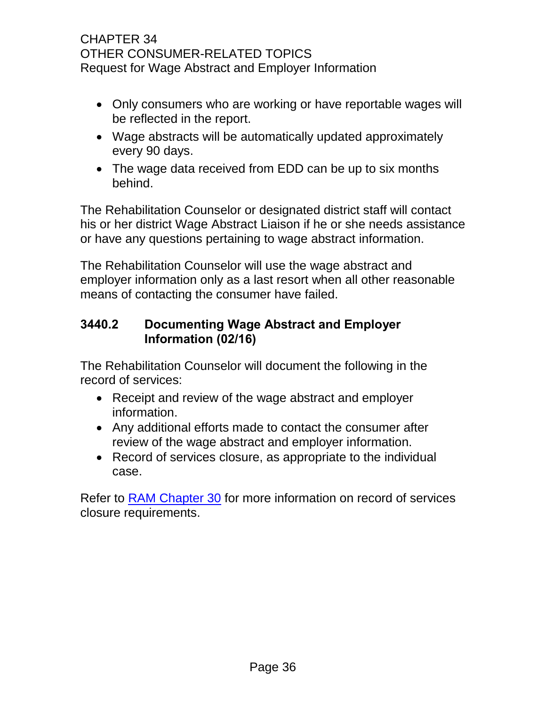### CHAPTER 34 OTHER CONSUMER-RELATED TOPICS Request for Wage Abstract and Employer Information

- Only consumers who are working or have reportable wages will be reflected in the report.
- Wage abstracts will be automatically updated approximately every 90 days.
- The wage data received from EDD can be up to six months behind.

The Rehabilitation Counselor or designated district staff will contact his or her district Wage Abstract Liaison if he or she needs assistance or have any questions pertaining to wage abstract information.

The Rehabilitation Counselor will use the wage abstract and employer information only as a last resort when all other reasonable means of contacting the consumer have failed.

## <span id="page-38-0"></span>**3440.2 Documenting Wage Abstract and Employer Information (02/16)**

The Rehabilitation Counselor will document the following in the record of services:

- Receipt and review of the wage abstract and employer information.
- Any additional efforts made to contact the consumer after review of the wage abstract and employer information.
- Record of services closure, as appropriate to the individual case.

Refer to [RAM Chapter 30](http://drdomino/ram/index.html) for more information on record of services closure requirements.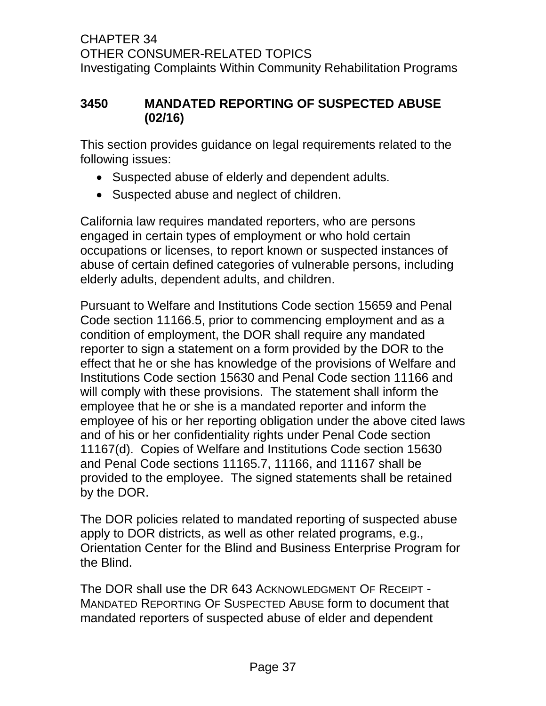### <span id="page-39-0"></span>**3450 MANDATED REPORTING OF SUSPECTED ABUSE (02/16)**

This section provides guidance on legal requirements related to the following issues:

- Suspected abuse of elderly and dependent adults.
- Suspected abuse and neglect of children.

California law requires mandated reporters, who are persons engaged in certain types of employment or who hold certain occupations or licenses, to report known or suspected instances of abuse of certain defined categories of vulnerable persons, including elderly adults, dependent adults, and children.

Pursuant to Welfare and Institutions Code section 15659 and Penal Code section 11166.5, prior to commencing employment and as a condition of employment, the DOR shall require any mandated reporter to sign a statement on a form provided by the DOR to the effect that he or she has knowledge of the provisions of Welfare and Institutions Code section 15630 and Penal Code section 11166 and will comply with these provisions. The statement shall inform the employee that he or she is a mandated reporter and inform the employee of his or her reporting obligation under the above cited laws and of his or her confidentiality rights under Penal Code section 11167(d). Copies of Welfare and Institutions Code section 15630 and Penal Code sections 11165.7, 11166, and 11167 shall be provided to the employee. The signed statements shall be retained by the DOR.

The DOR policies related to mandated reporting of suspected abuse apply to DOR districts, as well as other related programs, e.g., Orientation Center for the Blind and Business Enterprise Program for the Blind.

The DOR shall use the DR 643 ACKNOWLEDGMENT OF RECEIPT - MANDATED REPORTING OF SUSPECTED ABUSE form to document that mandated reporters of suspected abuse of elder and dependent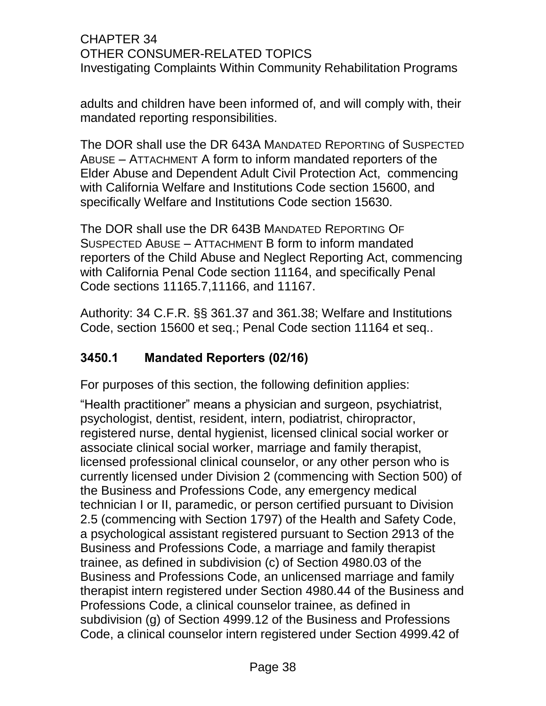adults and children have been informed of, and will comply with, their mandated reporting responsibilities.

The DOR shall use the DR 643A MANDATED REPORTING of SUSPECTED ABUSE – ATTACHMENT A form to inform mandated reporters of the Elder Abuse and Dependent Adult Civil Protection Act, commencing with California Welfare and Institutions Code section 15600, and specifically Welfare and Institutions Code section 15630.

The DOR shall use the DR 643B MANDATED REPORTING OF SUSPECTED ABUSE – ATTACHMENT B form to inform mandated reporters of the Child Abuse and Neglect Reporting Act, commencing with California Penal Code section 11164, and specifically Penal Code sections 11165.7,11166, and 11167.

Authority: 34 C.F.R. §§ 361.37 and 361.38; Welfare and Institutions Code, section 15600 et seq.; Penal Code section 11164 et seq..

## <span id="page-40-0"></span>**3450.1 Mandated Reporters (02/16)**

For purposes of this section, the following definition applies:

"Health practitioner" means a physician and surgeon, psychiatrist, psychologist, dentist, resident, intern, podiatrist, chiropractor, registered nurse, dental hygienist, licensed clinical social worker or associate clinical social worker, marriage and family therapist, licensed professional clinical counselor, or any other person who is currently licensed under Division 2 (commencing with Section 500) of the Business and Professions Code, any emergency medical technician I or II, paramedic, or person certified pursuant to Division 2.5 (commencing with Section 1797) of the Health and Safety Code, a psychological assistant registered pursuant to Section 2913 of the Business and Professions Code, a marriage and family therapist trainee, as defined in subdivision (c) of Section 4980.03 of the Business and Professions Code, an unlicensed marriage and family therapist intern registered under Section 4980.44 of the Business and Professions Code, a clinical counselor trainee, as defined in subdivision (g) of Section 4999.12 of the Business and Professions Code, a clinical counselor intern registered under Section 4999.42 of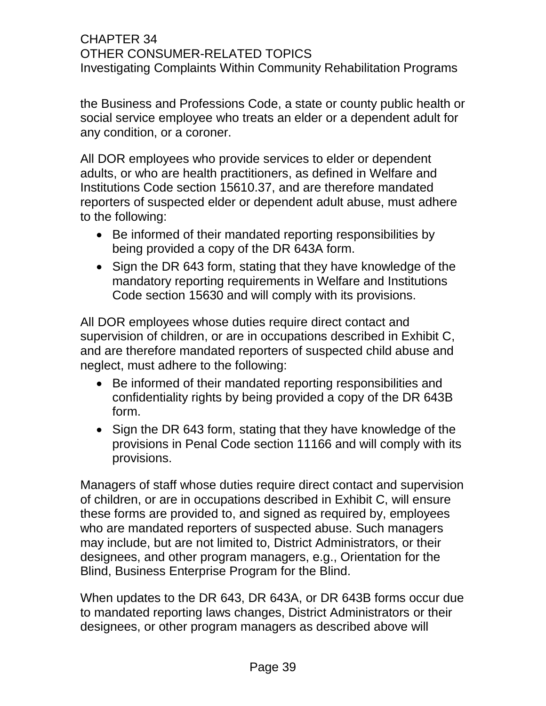the Business and Professions Code, a state or county public health or social service employee who treats an elder or a dependent adult for any condition, or a coroner.

All DOR employees who provide services to elder or dependent adults, or who are health practitioners, as defined in Welfare and Institutions Code section 15610.37, and are therefore mandated reporters of suspected elder or dependent adult abuse, must adhere to the following:

- Be informed of their mandated reporting responsibilities by being provided a copy of the DR 643A form.
- Sign the DR 643 form, stating that they have knowledge of the mandatory reporting requirements in Welfare and Institutions Code section 15630 and will comply with its provisions.

All DOR employees whose duties require direct contact and supervision of children, or are in occupations described in Exhibit C, and are therefore mandated reporters of suspected child abuse and neglect, must adhere to the following:

- Be informed of their mandated reporting responsibilities and confidentiality rights by being provided a copy of the DR 643B form.
- Sign the DR 643 form, stating that they have knowledge of the provisions in Penal Code section 11166 and will comply with its provisions.

Managers of staff whose duties require direct contact and supervision of children, or are in occupations described in Exhibit C, will ensure these forms are provided to, and signed as required by, employees who are mandated reporters of suspected abuse. Such managers may include, but are not limited to, District Administrators, or their designees, and other program managers, e.g., Orientation for the Blind, Business Enterprise Program for the Blind.

When updates to the DR 643, DR 643A, or DR 643B forms occur due to mandated reporting laws changes, District Administrators or their designees, or other program managers as described above will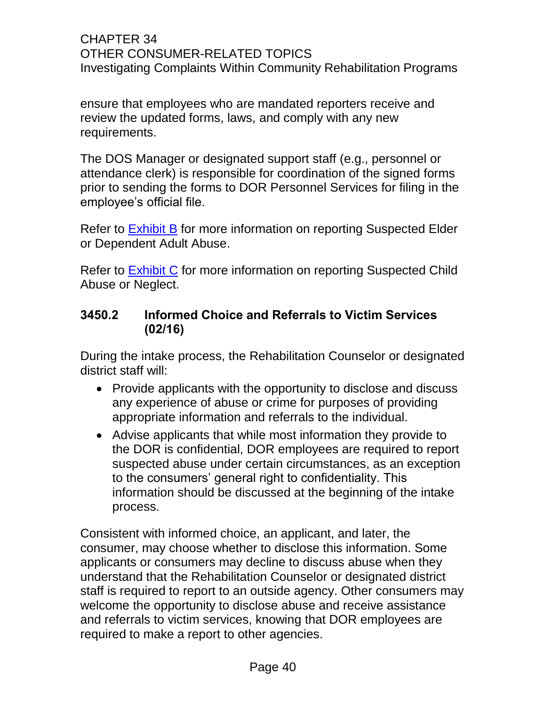ensure that employees who are mandated reporters receive and review the updated forms, laws, and comply with any new requirements.

The DOS Manager or designated support staff (e.g., personnel or attendance clerk) is responsible for coordination of the signed forms prior to sending the forms to DOR Personnel Services for filing in the employee's official file.

Refer to [Exhibit B](file://dorgroup/group/User%20Resources/Rehab%20Admin%20Manual/RAM34_Exhibit%20B%20Abuse%20Adult%201010.doc) for more information on reporting Suspected Elder or Dependent Adult Abuse.

Refer to [Exhibit C](file://dorgroup/group/User%20Resources/Rehab%20Admin%20Manual/RAM34_Exhibit%20C%20Abuse%20Child%201010.doc) for more information on reporting Suspected Child Abuse or Neglect.

### <span id="page-42-0"></span>**3450.2 Informed Choice and Referrals to Victim Services (02/16)**

During the intake process, the Rehabilitation Counselor or designated district staff will:

- Provide applicants with the opportunity to disclose and discuss any experience of abuse or crime for purposes of providing appropriate information and referrals to the individual.
- Advise applicants that while most information they provide to the DOR is confidential, DOR employees are required to report suspected abuse under certain circumstances, as an exception to the consumers' general right to confidentiality. This information should be discussed at the beginning of the intake process.

Consistent with informed choice, an applicant, and later, the consumer, may choose whether to disclose this information. Some applicants or consumers may decline to discuss abuse when they understand that the Rehabilitation Counselor or designated district staff is required to report to an outside agency. Other consumers may welcome the opportunity to disclose abuse and receive assistance and referrals to victim services, knowing that DOR employees are required to make a report to other agencies.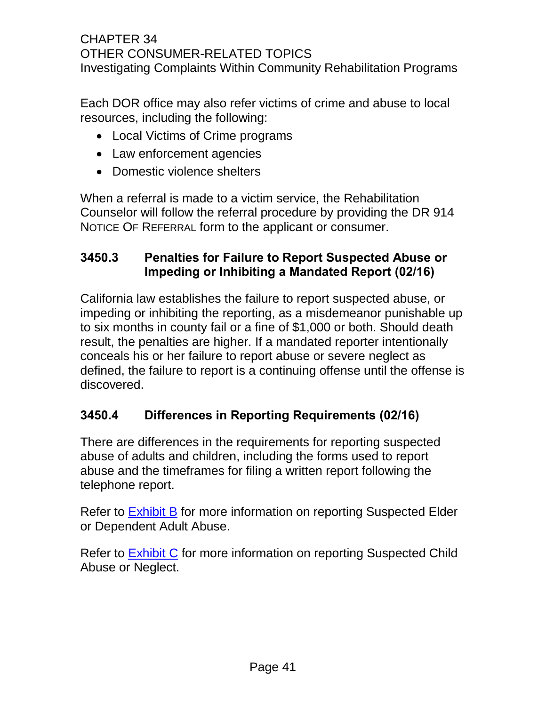Each DOR office may also refer victims of crime and abuse to local resources, including the following:

- Local Victims of Crime programs
- Law enforcement agencies
- Domestic violence shelters

When a referral is made to a victim service, the Rehabilitation Counselor will follow the referral procedure by providing the DR 914 NOTICE OF REFERRAL form to the applicant or consumer.

## <span id="page-43-0"></span>**3450.3 Penalties for Failure to Report Suspected Abuse or Impeding or Inhibiting a Mandated Report (02/16)**

California law establishes the failure to report suspected abuse, or impeding or inhibiting the reporting, as a misdemeanor punishable up to six months in county fail or a fine of \$1,000 or both. Should death result, the penalties are higher. If a mandated reporter intentionally conceals his or her failure to report abuse or severe neglect as defined, the failure to report is a continuing offense until the offense is discovered.

## <span id="page-43-1"></span>**3450.4 Differences in Reporting Requirements (02/16)**

There are differences in the requirements for reporting suspected abuse of adults and children, including the forms used to report abuse and the timeframes for filing a written report following the telephone report.

Refer to [Exhibit B](file://dorgroup/group/User%20Resources/Rehab%20Admin%20Manual/RAM34_Exhibit%20B%20Abuse%20Adult%201010.doc) for more information on reporting Suspected Elder or Dependent Adult Abuse.

Refer to **Exhibit C** for more information on reporting Suspected Child Abuse or Neglect.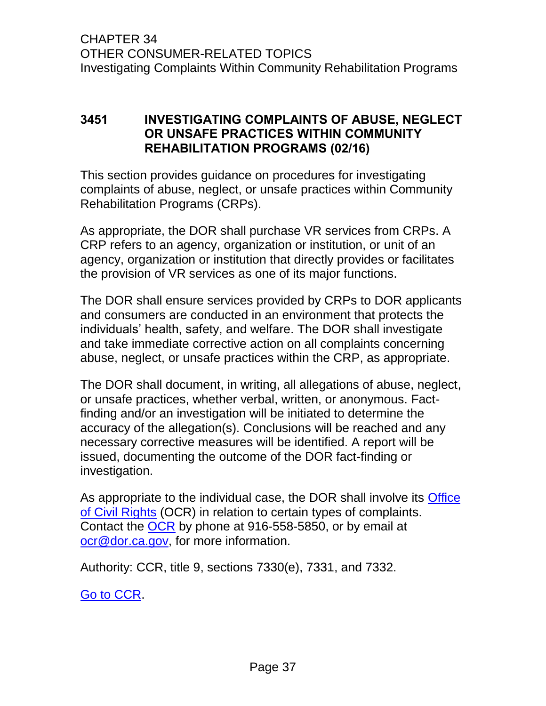### <span id="page-44-0"></span>**3451 INVESTIGATING COMPLAINTS OF ABUSE, NEGLECT OR UNSAFE PRACTICES WITHIN COMMUNITY REHABILITATION PROGRAMS (02/16)**

This section provides guidance on procedures for investigating complaints of abuse, neglect, or unsafe practices within Community Rehabilitation Programs (CRPs).

As appropriate, the DOR shall purchase VR services from CRPs. A CRP refers to an agency, organization or institution, or unit of an agency, organization or institution that directly provides or facilitates the provision of VR services as one of its major functions.

The DOR shall ensure services provided by CRPs to DOR applicants and consumers are conducted in an environment that protects the individuals' health, safety, and welfare. The DOR shall investigate and take immediate corrective action on all complaints concerning abuse, neglect, or unsafe practices within the CRP, as appropriate.

The DOR shall document, in writing, all allegations of abuse, neglect, or unsafe practices, whether verbal, written, or anonymous. Factfinding and/or an investigation will be initiated to determine the accuracy of the allegation(s). Conclusions will be reached and any necessary corrective measures will be identified. A report will be issued, documenting the outcome of the DOR fact-finding or investigation.

As appropriate to the individual case, the DOR shall involve its Office [of Civil Rights](http://drdomino/director/civil-rights/index.html) (OCR) in relation to certain types of complaints. Contact the [OCR](http://drdomino/director/civil-rights/index.html) by phone at 916-558-5850, or by email at [ocr@dor.ca.gov,](mailto:ocr@dor.ca.gov) for more information.

Authority: CCR, title 9, sections 7330(e), 7331, and 7332.

[Go to CCR.](file://dorgroup/group/User%20Resources/California%20Code%20of%20Regulations%20(CCR)/LATEST%20CCR/CCR%20DOR.docx)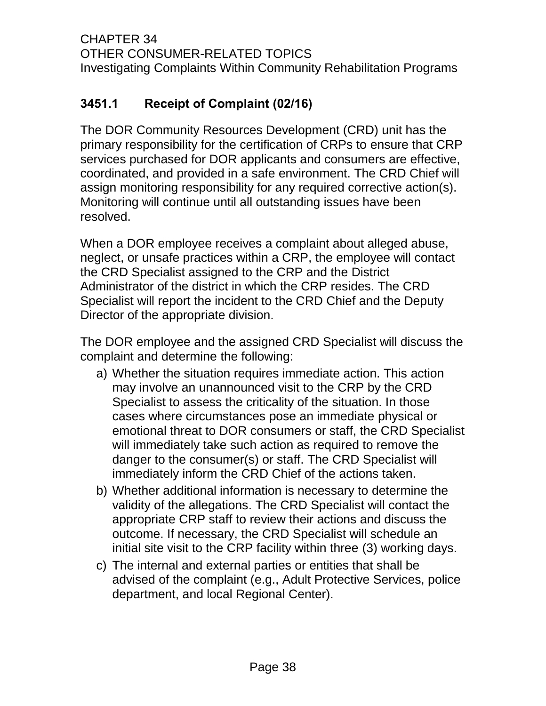# <span id="page-45-0"></span>**3451.1 Receipt of Complaint (02/16)**

The DOR Community Resources Development (CRD) unit has the primary responsibility for the certification of CRPs to ensure that CRP services purchased for DOR applicants and consumers are effective, coordinated, and provided in a safe environment. The CRD Chief will assign monitoring responsibility for any required corrective action(s). Monitoring will continue until all outstanding issues have been resolved.

When a DOR employee receives a complaint about alleged abuse, neglect, or unsafe practices within a CRP, the employee will contact the CRD Specialist assigned to the CRP and the District Administrator of the district in which the CRP resides. The CRD Specialist will report the incident to the CRD Chief and the Deputy Director of the appropriate division.

The DOR employee and the assigned CRD Specialist will discuss the complaint and determine the following:

- a) Whether the situation requires immediate action. This action may involve an unannounced visit to the CRP by the CRD Specialist to assess the criticality of the situation. In those cases where circumstances pose an immediate physical or emotional threat to DOR consumers or staff, the CRD Specialist will immediately take such action as required to remove the danger to the consumer(s) or staff. The CRD Specialist will immediately inform the CRD Chief of the actions taken.
- b) Whether additional information is necessary to determine the validity of the allegations. The CRD Specialist will contact the appropriate CRP staff to review their actions and discuss the outcome. If necessary, the CRD Specialist will schedule an initial site visit to the CRP facility within three (3) working days.
- c) The internal and external parties or entities that shall be advised of the complaint (e.g., Adult Protective Services, police department, and local Regional Center).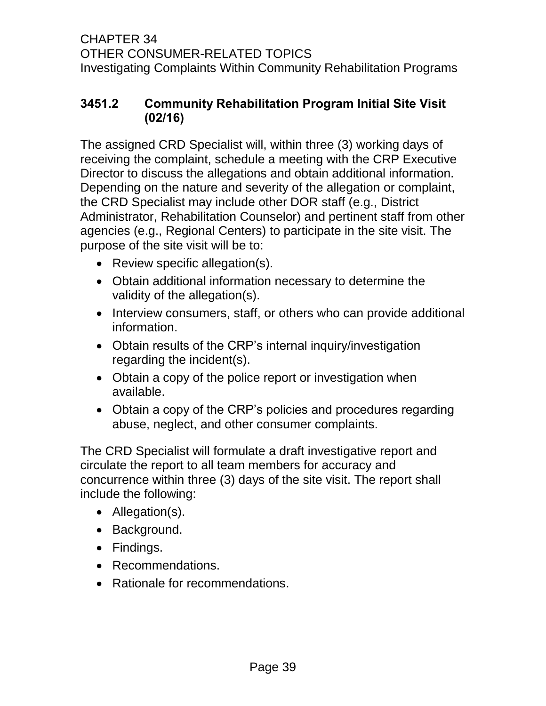## <span id="page-46-0"></span>**3451.2 Community Rehabilitation Program Initial Site Visit (02/16)**

The assigned CRD Specialist will, within three (3) working days of receiving the complaint, schedule a meeting with the CRP Executive Director to discuss the allegations and obtain additional information. Depending on the nature and severity of the allegation or complaint, the CRD Specialist may include other DOR staff (e.g., District Administrator, Rehabilitation Counselor) and pertinent staff from other agencies (e.g., Regional Centers) to participate in the site visit. The purpose of the site visit will be to:

- Review specific allegation(s).
- Obtain additional information necessary to determine the validity of the allegation(s).
- Interview consumers, staff, or others who can provide additional information.
- Obtain results of the CRP's internal inquiry/investigation regarding the incident(s).
- Obtain a copy of the police report or investigation when available.
- Obtain a copy of the CRP's policies and procedures regarding abuse, neglect, and other consumer complaints.

The CRD Specialist will formulate a draft investigative report and circulate the report to all team members for accuracy and concurrence within three (3) days of the site visit. The report shall include the following:

- Allegation(s).
- Background.
- Findings.
- Recommendations.
- Rationale for recommendations.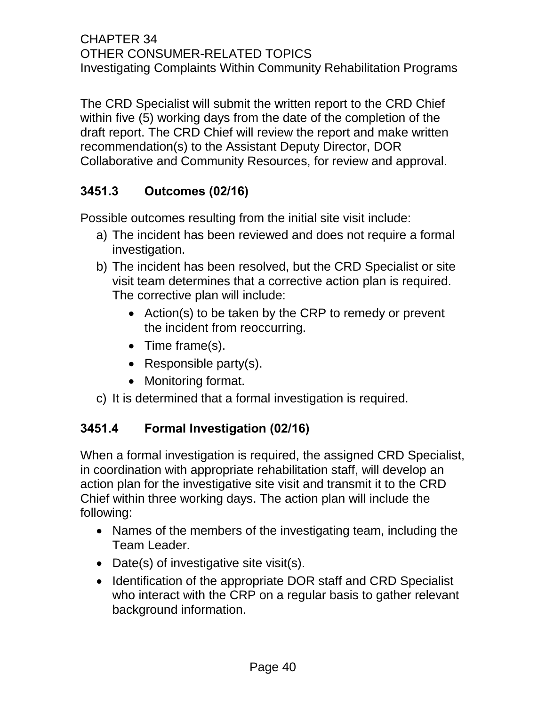The CRD Specialist will submit the written report to the CRD Chief within five (5) working days from the date of the completion of the draft report. The CRD Chief will review the report and make written recommendation(s) to the Assistant Deputy Director, DOR Collaborative and Community Resources, for review and approval.

# <span id="page-47-0"></span>**3451.3 Outcomes (02/16)**

Possible outcomes resulting from the initial site visit include:

- a) The incident has been reviewed and does not require a formal investigation.
- b) The incident has been resolved, but the CRD Specialist or site visit team determines that a corrective action plan is required. The corrective plan will include:
	- Action(s) to be taken by the CRP to remedy or prevent the incident from reoccurring.
	- Time frame(s).
	- Responsible party $(s)$ .
	- Monitoring format.
- c) It is determined that a formal investigation is required.

## <span id="page-47-1"></span>**3451.4 Formal Investigation (02/16)**

When a formal investigation is required, the assigned CRD Specialist, in coordination with appropriate rehabilitation staff, will develop an action plan for the investigative site visit and transmit it to the CRD Chief within three working days. The action plan will include the following:

- Names of the members of the investigating team, including the Team Leader.
- Date(s) of investigative site visit(s).
- Identification of the appropriate DOR staff and CRD Specialist who interact with the CRP on a regular basis to gather relevant background information.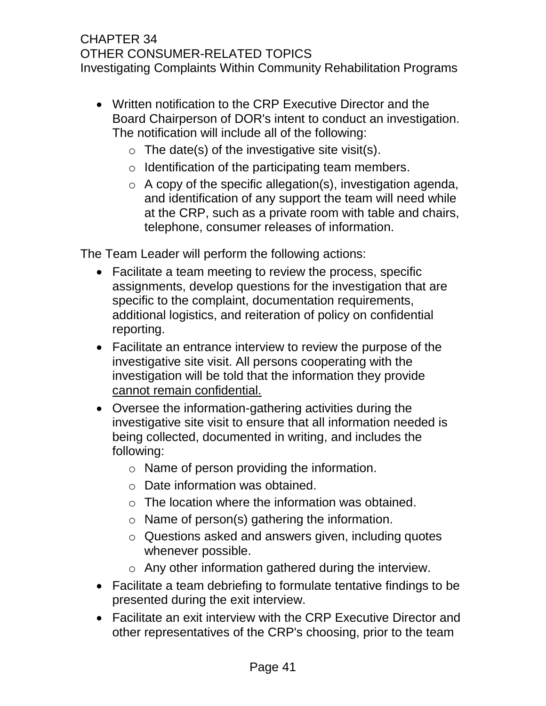- Written notification to the CRP Executive Director and the Board Chairperson of DOR's intent to conduct an investigation. The notification will include all of the following:
	- $\circ$  The date(s) of the investigative site visit(s).
	- $\circ$  Identification of the participating team members.
	- $\circ$  A copy of the specific allegation(s), investigation agenda, and identification of any support the team will need while at the CRP, such as a private room with table and chairs, telephone, consumer releases of information.

The Team Leader will perform the following actions:

- Facilitate a team meeting to review the process, specific assignments, develop questions for the investigation that are specific to the complaint, documentation requirements, additional logistics, and reiteration of policy on confidential reporting.
- Facilitate an entrance interview to review the purpose of the investigative site visit. All persons cooperating with the investigation will be told that the information they provide cannot remain confidential.
- Oversee the information-gathering activities during the investigative site visit to ensure that all information needed is being collected, documented in writing, and includes the following:
	- o Name of person providing the information.
	- o Date information was obtained.
	- $\circ$  The location where the information was obtained.
	- o Name of person(s) gathering the information.
	- o Questions asked and answers given, including quotes whenever possible.
	- o Any other information gathered during the interview.
- Facilitate a team debriefing to formulate tentative findings to be presented during the exit interview.
- Facilitate an exit interview with the CRP Executive Director and other representatives of the CRP's choosing, prior to the team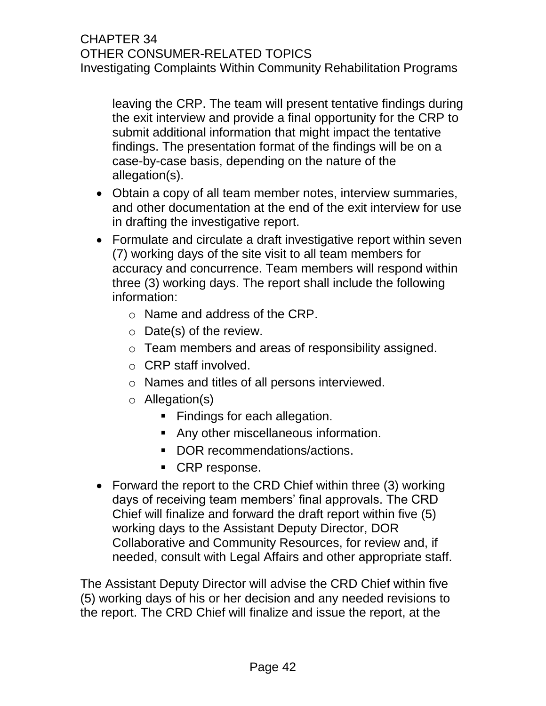leaving the CRP. The team will present tentative findings during the exit interview and provide a final opportunity for the CRP to submit additional information that might impact the tentative findings. The presentation format of the findings will be on a case-by-case basis, depending on the nature of the allegation(s).

- Obtain a copy of all team member notes, interview summaries, and other documentation at the end of the exit interview for use in drafting the investigative report.
- Formulate and circulate a draft investigative report within seven (7) working days of the site visit to all team members for accuracy and concurrence. Team members will respond within three (3) working days. The report shall include the following information:
	- o Name and address of the CRP.
	- $\circ$  Date(s) of the review.
	- o Team members and areas of responsibility assigned.
	- o CRP staff involved.
	- o Names and titles of all persons interviewed.
	- o Allegation(s)
		- Findings for each allegation.
		- Any other miscellaneous information.
		- DOR recommendations/actions.
		- CRP response.
- Forward the report to the CRD Chief within three (3) working days of receiving team members' final approvals. The CRD Chief will finalize and forward the draft report within five (5) working days to the Assistant Deputy Director, DOR Collaborative and Community Resources, for review and, if needed, consult with Legal Affairs and other appropriate staff.

The Assistant Deputy Director will advise the CRD Chief within five (5) working days of his or her decision and any needed revisions to the report. The CRD Chief will finalize and issue the report, at the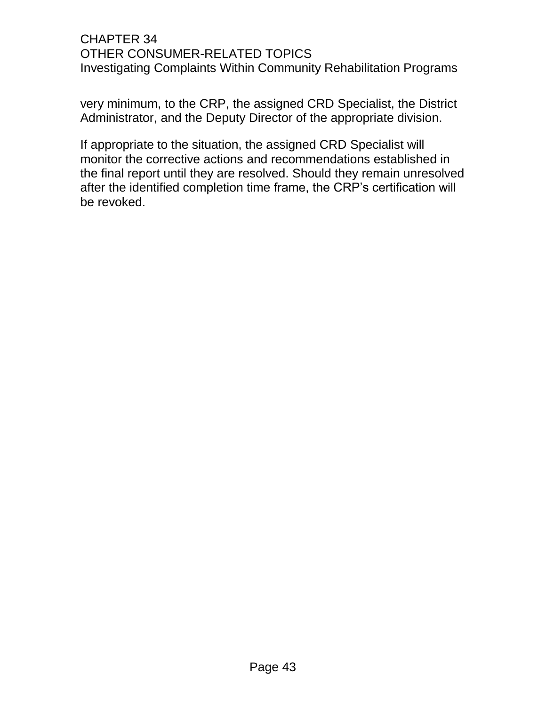very minimum, to the CRP, the assigned CRD Specialist, the District Administrator, and the Deputy Director of the appropriate division.

If appropriate to the situation, the assigned CRD Specialist will monitor the corrective actions and recommendations established in the final report until they are resolved. Should they remain unresolved after the identified completion time frame, the CRP's certification will be revoked.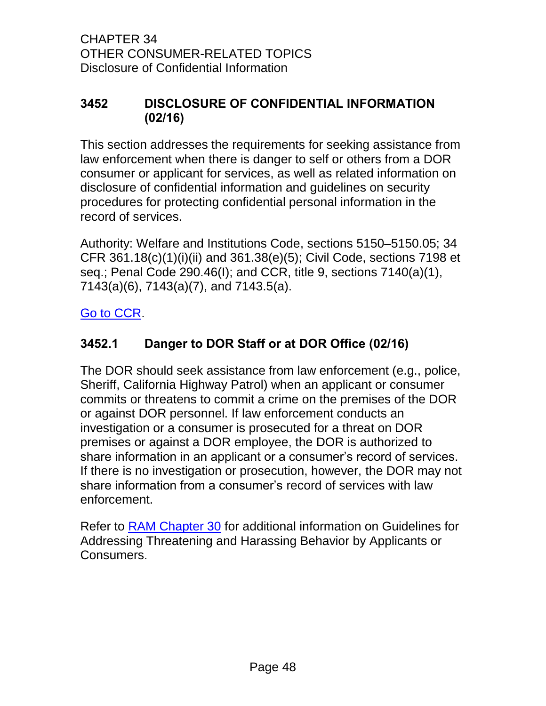### <span id="page-51-0"></span>**3452 DISCLOSURE OF CONFIDENTIAL INFORMATION (02/16)**

This section addresses the requirements for seeking assistance from law enforcement when there is danger to self or others from a DOR consumer or applicant for services, as well as related information on disclosure of confidential information and guidelines on security procedures for protecting confidential personal information in the record of services.

Authority: Welfare and Institutions Code, sections 5150–5150.05; 34 CFR 361.18(c)(1)(i)(ii) and 361.38(e)(5); Civil Code, sections 7198 et seq.; Penal Code 290.46(I); and CCR, title 9, sections 7140(a)(1), 7143(a)(6), 7143(a)(7), and 7143.5(a).

### <span id="page-51-1"></span>[Go to CCR.](file://dorgroup/group/User%20Resources/California%20Code%20of%20Regulations%20(CCR)/LATEST%20CCR/CCR%20DOR.docx)

## **3452.1 Danger to DOR Staff or at DOR Office (02/16)**

The DOR should seek assistance from law enforcement (e.g., police, Sheriff, California Highway Patrol) when an applicant or consumer commits or threatens to commit a crime on the premises of the DOR or against DOR personnel. If law enforcement conducts an investigation or a consumer is prosecuted for a threat on DOR premises or against a DOR employee, the DOR is authorized to share information in an applicant or a consumer's record of services. If there is no investigation or prosecution, however, the DOR may not share information from a consumer's record of services with law enforcement.

Refer to [RAM Chapter 30](http://drdomino/ram/index.html) for additional information on Guidelines for Addressing Threatening and Harassing Behavior by Applicants or Consumers.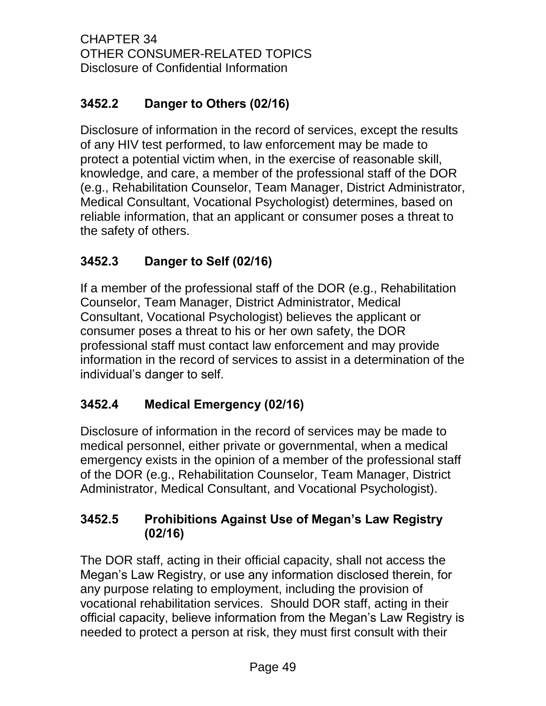# <span id="page-52-0"></span>**3452.2 Danger to Others (02/16)**

Disclosure of information in the record of services, except the results of any HIV test performed, to law enforcement may be made to protect a potential victim when, in the exercise of reasonable skill, knowledge, and care, a member of the professional staff of the DOR (e.g., Rehabilitation Counselor, Team Manager, District Administrator, Medical Consultant, Vocational Psychologist) determines, based on reliable information, that an applicant or consumer poses a threat to the safety of others.

# <span id="page-52-1"></span>**3452.3 Danger to Self (02/16)**

If a member of the professional staff of the DOR (e.g., Rehabilitation Counselor, Team Manager, District Administrator, Medical Consultant, Vocational Psychologist) believes the applicant or consumer poses a threat to his or her own safety, the DOR professional staff must contact law enforcement and may provide information in the record of services to assist in a determination of the individual's danger to self.

## <span id="page-52-2"></span>**3452.4 Medical Emergency (02/16)**

Disclosure of information in the record of services may be made to medical personnel, either private or governmental, when a medical emergency exists in the opinion of a member of the professional staff of the DOR (e.g., Rehabilitation Counselor, Team Manager, District Administrator, Medical Consultant, and Vocational Psychologist).

## <span id="page-52-3"></span>**3452.5 Prohibitions Against Use of Megan's Law Registry (02/16)**

The DOR staff, acting in their official capacity, shall not access the Megan's Law Registry, or use any information disclosed therein, for any purpose relating to employment, including the provision of vocational rehabilitation services. Should DOR staff, acting in their official capacity, believe information from the Megan's Law Registry is needed to protect a person at risk, they must first consult with their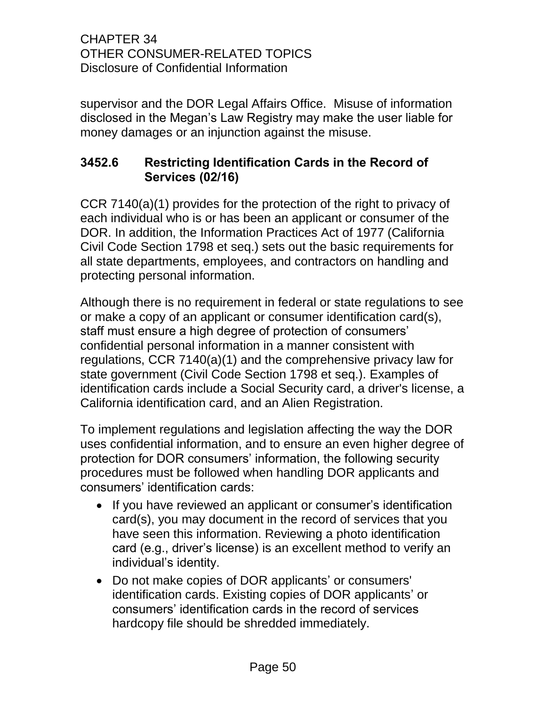supervisor and the DOR Legal Affairs Office. Misuse of information disclosed in the Megan's Law Registry may make the user liable for money damages or an injunction against the misuse.

## <span id="page-53-0"></span>**3452.6 Restricting Identification Cards in the Record of Services (02/16)**

CCR 7140(a)(1) provides for the protection of the right to privacy of each individual who is or has been an applicant or consumer of the DOR. In addition, the Information Practices Act of 1977 (California Civil Code Section 1798 et seq.) sets out the basic requirements for all state departments, employees, and contractors on handling and protecting personal information.

Although there is no requirement in federal or state regulations to see or make a copy of an applicant or consumer identification card(s), staff must ensure a high degree of protection of consumers' confidential personal information in a manner consistent with regulations, CCR 7140(a)(1) and the comprehensive privacy law for state government (Civil Code Section 1798 et seq.). Examples of identification cards include a Social Security card, a driver's license, a California identification card, and an Alien Registration.

To implement regulations and legislation affecting the way the DOR uses confidential information, and to ensure an even higher degree of protection for DOR consumers' information, the following security procedures must be followed when handling DOR applicants and consumers' identification cards:

- If you have reviewed an applicant or consumer's identification card(s), you may document in the record of services that you have seen this information. Reviewing a photo identification card (e.g., driver's license) is an excellent method to verify an individual's identity.
- Do not make copies of DOR applicants' or consumers' identification cards. Existing copies of DOR applicants' or consumers' identification cards in the record of services hardcopy file should be shredded immediately.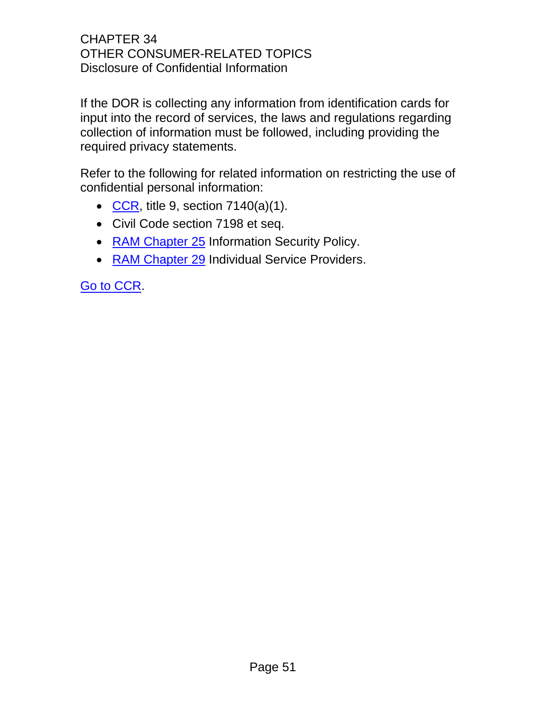If the DOR is collecting any information from identification cards for input into the record of services, the laws and regulations regarding collection of information must be followed, including providing the required privacy statements.

Refer to the following for related information on restricting the use of confidential personal information:

- [CCR,](file://dorgroup/group/User%20Resources/California%20Code%20of%20Regulations%20(CCR)/LATEST%20CCR/CCR%20DOR.docx) title 9, section  $7140(a)(1)$ .
- Civil Code section 7198 et seq.
- [RAM Chapter 25](http://drdomino/ram/index.html) Information Security Policy.
- [RAM Chapter 29](http://drdomino/ram/index.html) Individual Service Providers.

[Go to CCR.](file://dorgroup/group/User%20Resources/California%20Code%20of%20Regulations%20(CCR)/LATEST%20CCR/CCR%20DOR.docx)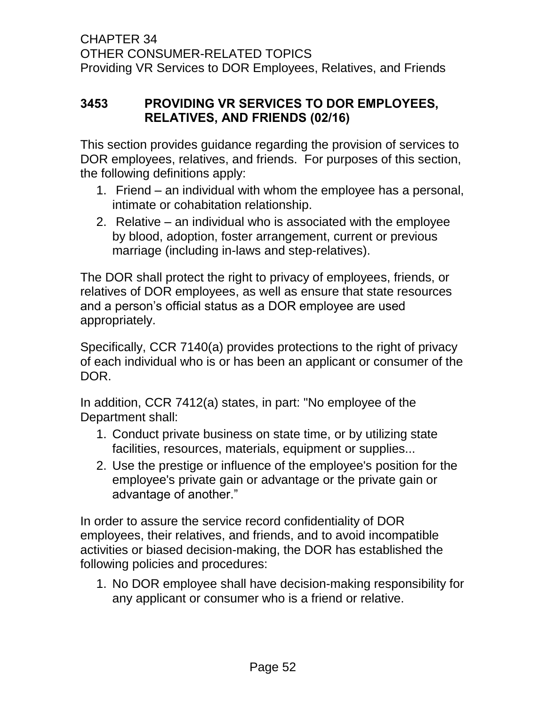## <span id="page-55-0"></span>**3453 PROVIDING VR SERVICES TO DOR EMPLOYEES, RELATIVES, AND FRIENDS (02/16)**

This section provides guidance regarding the provision of services to DOR employees, relatives, and friends. For purposes of this section, the following definitions apply:

- 1. Friend an individual with whom the employee has a personal, intimate or cohabitation relationship.
- 2. Relative an individual who is associated with the employee by blood, adoption, foster arrangement, current or previous marriage (including in-laws and step-relatives).

The DOR shall protect the right to privacy of employees, friends, or relatives of DOR employees, as well as ensure that state resources and a person's official status as a DOR employee are used appropriately.

Specifically, CCR 7140(a) provides protections to the right of privacy of each individual who is or has been an applicant or consumer of the DOR.

In addition, CCR 7412(a) states, in part: "No employee of the Department shall:

- 1. Conduct private business on state time, or by utilizing state facilities, resources, materials, equipment or supplies...
- 2. Use the prestige or influence of the employee's position for the employee's private gain or advantage or the private gain or advantage of another."

In order to assure the service record confidentiality of DOR employees, their relatives, and friends, and to avoid incompatible activities or biased decision-making, the DOR has established the following policies and procedures:

1. No DOR employee shall have decision-making responsibility for any applicant or consumer who is a friend or relative.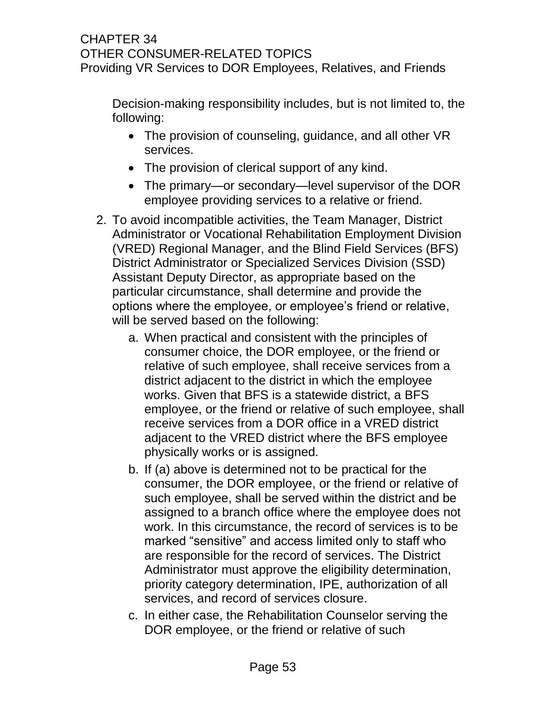### CHAPTER 34 OTHER CONSUMER-RELATED TOPICS Providing VR Services to DOR Employees, Relatives, and Friends

Decision-making responsibility includes, but is not limited to, the following:

- The provision of counseling, guidance, and all other VR services.
- The provision of clerical support of any kind.
- The primary—or secondary—level supervisor of the DOR employee providing services to a relative or friend.
- 2. To avoid incompatible activities, the Team Manager, District Administrator or Vocational Rehabilitation Employment Division (VRED) Regional Manager, and the Blind Field Services (BFS) District Administrator or Specialized Services Division (SSD) Assistant Deputy Director, as appropriate based on the particular circumstance, shall determine and provide the options where the employee, or employee's friend or relative, will be served based on the following:
	- a. When practical and consistent with the principles of consumer choice, the DOR employee, or the friend or relative of such employee, shall receive services from a district adjacent to the district in which the employee works. Given that BFS is a statewide district, a BFS employee, or the friend or relative of such employee, shall receive services from a DOR office in a VRED district adjacent to the VRED district where the BFS employee physically works or is assigned.
	- b. If (a) above is determined not to be practical for the consumer, the DOR employee, or the friend or relative of such employee, shall be served within the district and be assigned to a branch office where the employee does not work. In this circumstance, the record of services is to be marked "sensitive" and access limited only to staff who are responsible for the record of services. The District Administrator must approve the eligibility determination, priority category determination, IPE, authorization of all services, and record of services closure.
	- c. In either case, the Rehabilitation Counselor serving the DOR employee, or the friend or relative of such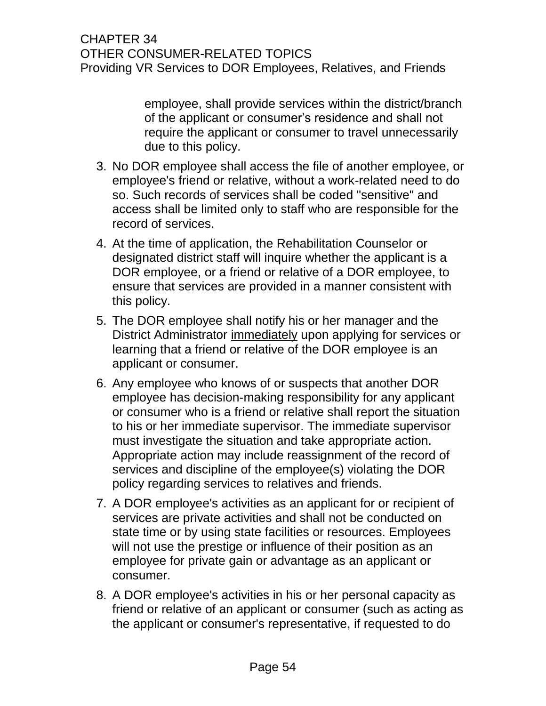### CHAPTER 34 OTHER CONSUMER-RELATED TOPICS Providing VR Services to DOR Employees, Relatives, and Friends

employee, shall provide services within the district/branch of the applicant or consumer's residence and shall not require the applicant or consumer to travel unnecessarily due to this policy.

- 3. No DOR employee shall access the file of another employee, or employee's friend or relative, without a work-related need to do so. Such records of services shall be coded "sensitive" and access shall be limited only to staff who are responsible for the record of services.
- 4. At the time of application, the Rehabilitation Counselor or designated district staff will inquire whether the applicant is a DOR employee, or a friend or relative of a DOR employee, to ensure that services are provided in a manner consistent with this policy.
- 5. The DOR employee shall notify his or her manager and the District Administrator immediately upon applying for services or learning that a friend or relative of the DOR employee is an applicant or consumer.
- 6. Any employee who knows of or suspects that another DOR employee has decision-making responsibility for any applicant or consumer who is a friend or relative shall report the situation to his or her immediate supervisor. The immediate supervisor must investigate the situation and take appropriate action. Appropriate action may include reassignment of the record of services and discipline of the employee(s) violating the DOR policy regarding services to relatives and friends.
- 7. A DOR employee's activities as an applicant for or recipient of services are private activities and shall not be conducted on state time or by using state facilities or resources. Employees will not use the prestige or influence of their position as an employee for private gain or advantage as an applicant or consumer.
- 8. A DOR employee's activities in his or her personal capacity as friend or relative of an applicant or consumer (such as acting as the applicant or consumer's representative, if requested to do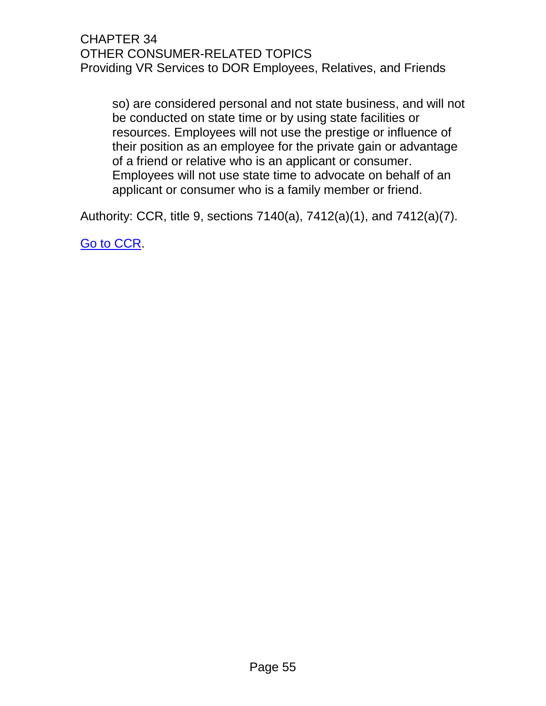### CHAPTER 34 OTHER CONSUMER-RELATED TOPICS Providing VR Services to DOR Employees, Relatives, and Friends

so) are considered personal and not state business, and will not be conducted on state time or by using state facilities or resources. Employees will not use the prestige or influence of their position as an employee for the private gain or advantage of a friend or relative who is an applicant or consumer. Employees will not use state time to advocate on behalf of an applicant or consumer who is a family member or friend.

Authority: CCR, title 9, sections 7140(a), 7412(a)(1), and 7412(a)(7).

[Go to CCR.](file://dorgroup/group/User%20Resources/California%20Code%20of%20Regulations%20(CCR)/LATEST%20CCR/CCR%20DOR.docx)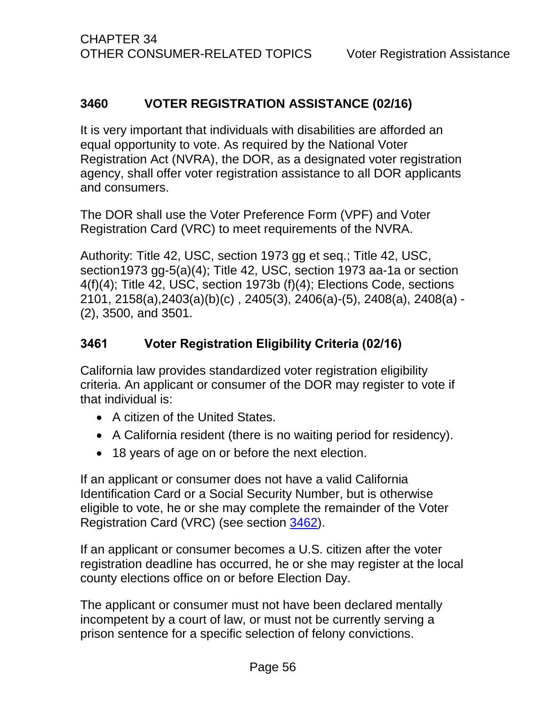## <span id="page-59-0"></span>**3460 VOTER REGISTRATION ASSISTANCE (02/16)**

It is very important that individuals with disabilities are afforded an equal opportunity to vote. As required by the National Voter Registration Act (NVRA), the DOR, as a designated voter registration agency, shall offer voter registration assistance to all DOR applicants and consumers.

The DOR shall use the Voter Preference Form (VPF) and Voter Registration Card (VRC) to meet requirements of the NVRA.

Authority: Title 42, USC, section 1973 gg et seq.; Title 42, USC, section1973 gg-5(a)(4); Title 42, USC, section 1973 aa-1a or section 4(f)(4); Title 42, USC, section 1973b (f)(4); Elections Code, sections 2101, 2158(a),2403(a)(b)(c) , 2405(3), 2406(a)-(5), 2408(a), 2408(a) - (2), 3500, and 3501.

### <span id="page-59-1"></span>**3461 Voter Registration Eligibility Criteria (02/16)**

California law provides standardized voter registration eligibility criteria. An applicant or consumer of the DOR may register to vote if that individual is:

- A citizen of the United States.
- A California resident (there is no waiting period for residency).
- 18 years of age on or before the next election.

If an applicant or consumer does not have a valid California Identification Card or a Social Security Number, but is otherwise eligible to vote, he or she may complete the remainder of the Voter Registration Card (VRC) (see section 3462).

If an applicant or consumer becomes a U.S. citizen after the voter registration deadline has occurred, he or she may register at the local county elections office on or before Election Day.

The applicant or consumer must not have been declared mentally incompetent by a court of law, or must not be currently serving a prison sentence for a specific selection of felony convictions.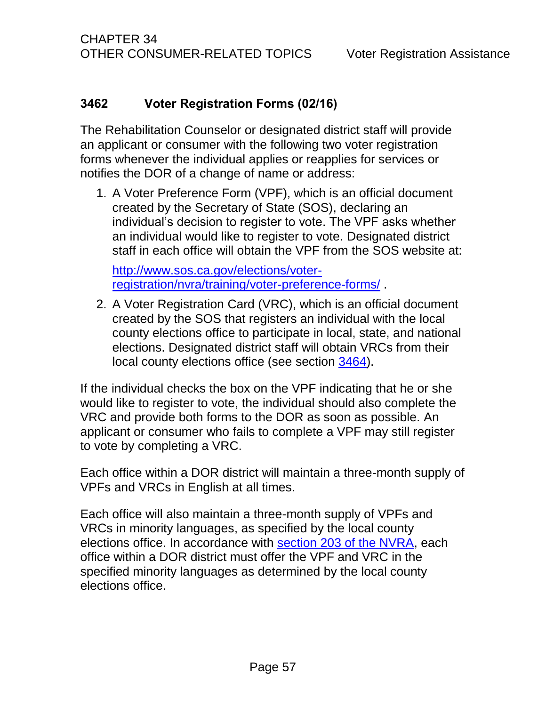## <span id="page-60-0"></span>**3462 Voter Registration Forms (02/16)**

The Rehabilitation Counselor or designated district staff will provide an applicant or consumer with the following two voter registration forms whenever the individual applies or reapplies for services or notifies the DOR of a change of name or address:

1. A Voter Preference Form (VPF), which is an official document created by the Secretary of State (SOS), declaring an individual's decision to register to vote. The VPF asks whether an individual would like to register to vote. Designated district staff in each office will obtain the VPF from the SOS website at:

[http://www.sos.ca.gov/elections/voter](http://www.sos.ca.gov/elections/voter-registration/nvra/training/voter-preference-forms/)[registration/nvra/training/voter-preference-forms/](http://www.sos.ca.gov/elections/voter-registration/nvra/training/voter-preference-forms/) .

2. A Voter Registration Card (VRC), which is an official document created by the SOS that registers an individual with the local county elections office to participate in local, state, and national elections. Designated district staff will obtain VRCs from their local county elections office (see section 3464).

If the individual checks the box on the VPF indicating that he or she would like to register to vote, the individual should also complete the VRC and provide both forms to the DOR as soon as possible. An applicant or consumer who fails to complete a VPF may still register to vote by completing a VRC.

Each office within a DOR district will maintain a three-month supply of VPFs and VRCs in English at all times.

Each office will also maintain a three-month supply of VPFs and VRCs in minority languages, as specified by the local county elections office. In accordance with [section 203 of the NVRA,](http://www.justice.gov/crt/about/vot/sec_203/activ_203.php) each office within a DOR district must offer the VPF and VRC in the specified minority languages as determined by the local county elections office.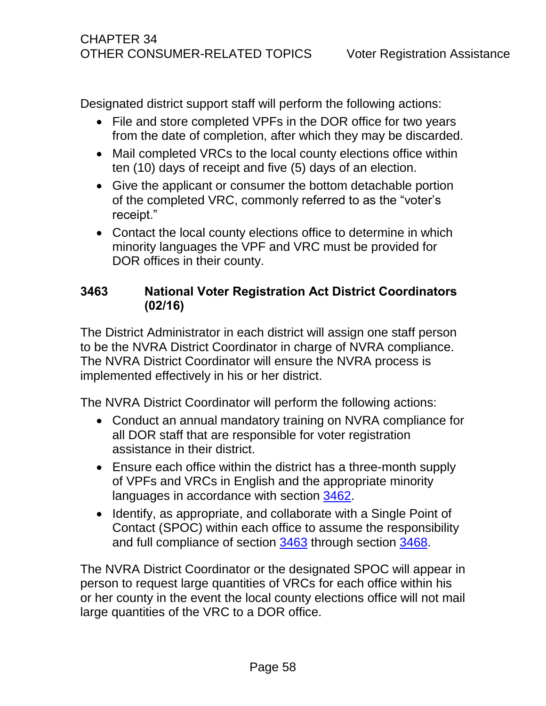Designated district support staff will perform the following actions:

- File and store completed VPFs in the DOR office for two years from the date of completion, after which they may be discarded.
- Mail completed VRCs to the local county elections office within ten (10) days of receipt and five (5) days of an election.
- Give the applicant or consumer the bottom detachable portion of the completed VRC, commonly referred to as the "voter's receipt."
- Contact the local county elections office to determine in which minority languages the VPF and VRC must be provided for DOR offices in their county.

## <span id="page-61-0"></span>**3463 National Voter Registration Act District Coordinators (02/16)**

The District Administrator in each district will assign one staff person to be the NVRA District Coordinator in charge of NVRA compliance. The NVRA District Coordinator will ensure the NVRA process is implemented effectively in his or her district.

The NVRA District Coordinator will perform the following actions:

- Conduct an annual mandatory training on NVRA compliance for all DOR staff that are responsible for voter registration assistance in their district.
- Ensure each office within the district has a three-month supply of VPFs and VRCs in English and the appropriate minority languages in accordance with section 3462.
- Identify, as appropriate, and collaborate with a Single Point of Contact (SPOC) within each office to assume the responsibility and full compliance of section 3463 through section 3468.

The NVRA District Coordinator or the designated SPOC will appear in person to request large quantities of VRCs for each office within his or her county in the event the local county elections office will not mail large quantities of the VRC to a DOR office.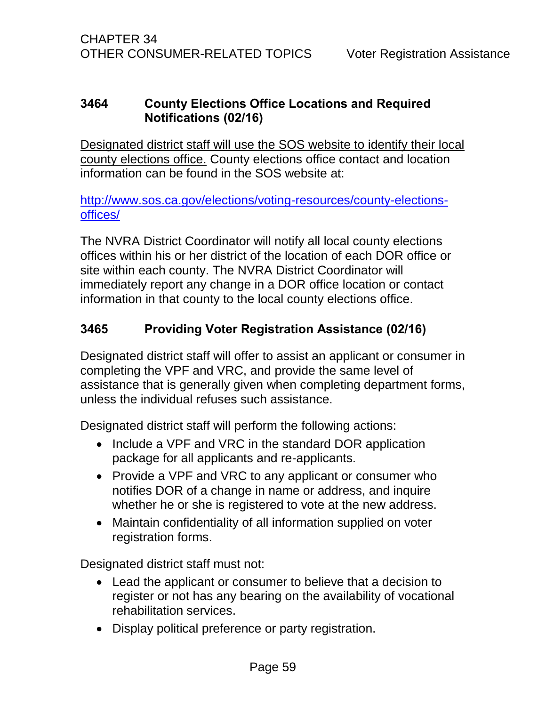### <span id="page-62-0"></span>**3464 County Elections Office Locations and Required Notifications (02/16)**

Designated district staff will use the SOS website to identify their local county elections office. County elections office contact and location information can be found in the SOS website at:

[http://www.sos.ca.gov/elections/voting-resources/county-elections](http://www.sos.ca.gov/elections/voting-resources/county-elections-offices/)[offices/](http://www.sos.ca.gov/elections/voting-resources/county-elections-offices/)

The NVRA District Coordinator will notify all local county elections offices within his or her district of the location of each DOR office or site within each county. The NVRA District Coordinator will immediately report any change in a DOR office location or contact information in that county to the local county elections office.

## <span id="page-62-1"></span>**3465 Providing Voter Registration Assistance (02/16)**

Designated district staff will offer to assist an applicant or consumer in completing the VPF and VRC, and provide the same level of assistance that is generally given when completing department forms, unless the individual refuses such assistance.

Designated district staff will perform the following actions:

- Include a VPF and VRC in the standard DOR application package for all applicants and re-applicants.
- Provide a VPF and VRC to any applicant or consumer who notifies DOR of a change in name or address, and inquire whether he or she is registered to vote at the new address.
- Maintain confidentiality of all information supplied on voter registration forms.

Designated district staff must not:

- Lead the applicant or consumer to believe that a decision to register or not has any bearing on the availability of vocational rehabilitation services.
- Display political preference or party registration.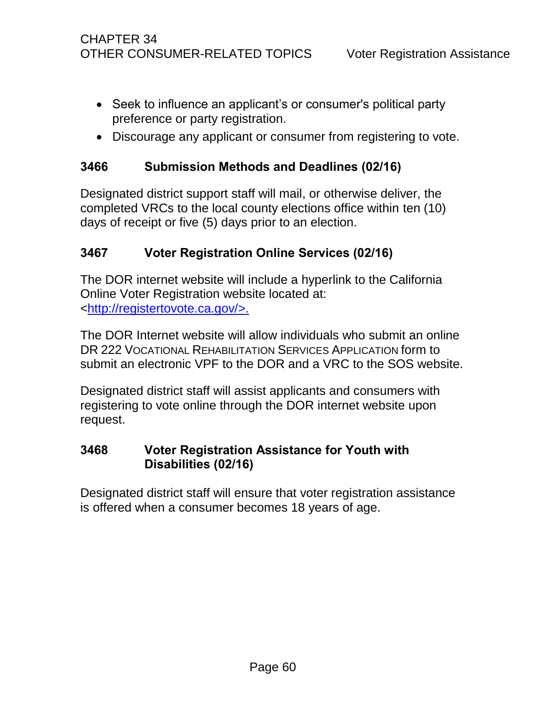- Seek to influence an applicant's or consumer's political party preference or party registration.
- Discourage any applicant or consumer from registering to vote.

### <span id="page-63-0"></span>**3466 Submission Methods and Deadlines (02/16)**

Designated district support staff will mail, or otherwise deliver, the completed VRCs to the local county elections office within ten (10) days of receipt or five (5) days prior to an election.

### <span id="page-63-1"></span>**3467 Voter Registration Online Services (02/16)**

The DOR internet website will include a hyperlink to the California Online Voter Registration website located at: [<http://registertovote.ca.gov/>](http://registertovote.ca.gov/).

The DOR Internet website will allow individuals who submit an online DR 222 VOCATIONAL REHABILITATION SERVICES APPLICATION form to submit an electronic VPF to the DOR and a VRC to the SOS website.

Designated district staff will assist applicants and consumers with registering to vote online through the DOR internet website upon request.

### <span id="page-63-2"></span>**3468 Voter Registration Assistance for Youth with Disabilities (02/16)**

Designated district staff will ensure that voter registration assistance is offered when a consumer becomes 18 years of age.